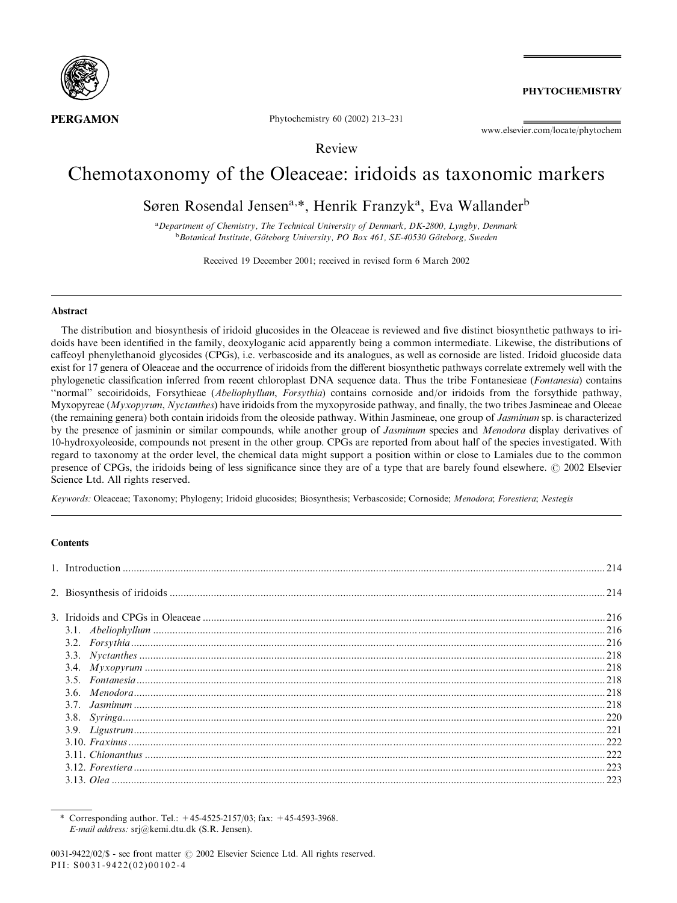

**PHYTOCHEMISTRY** 

Phytochemistry 60 (2002) 213–231

www.elsevier.com/locate/phytochem

Review

# Chemotaxonomy of the Oleaceae: iridoids as taxonomic markers

Søren Rosendal Jensen<sup>a,\*</sup>, Henrik Franzyk<sup>a</sup>, Eva Wallander<sup>b</sup>

<sup>a</sup> Department of Chemistry, The Technical University of Denmark, DK-2800, Lyngby, Denmark <sup>b</sup>Botanical Institute, Göteborg University, PO Box 461, SE-40530 Göteborg, Sweden

Received 19 December 2001; received in revised form 6 March 2002

### Abstract

The distribution and biosynthesis of iridoid glucosides in the Oleaceae is reviewed and five distinct biosynthetic pathways to iridoids have been identified in the family, deoxyloganic acid apparently being a common intermediate. Likewise, the distributions of caffeoyl phenylethanoid glycosides (CPGs), i.e. verbascoside and its analogues, as well as cornoside are listed. Iridoid glucoside data exist for 17 genera of Oleaceae and the occurrence of iridoids from the different biosynthetic pathways correlate extremely well with the phylogenetic classification inferred from recent chloroplast DNA sequence data. Thus the tribe Fontanesieae (Fontanesia) contains ''normal'' secoiridoids, Forsythieae (Abeliophyllum, Forsythia) contains cornoside and/or iridoids from the forsythide pathway, Myxopyreae (*Myxopyrum, Nyctanthes*) have iridoids from the myxopyroside pathway, and finally, the two tribes Jasmineae and Oleeae (the remaining genera) both contain iridoids from the oleoside pathway. Within Jasmineae, one group of Jasminum sp. is characterized by the presence of jasminin or similar compounds, while another group of Jasminum species and Menodora display derivatives of 10-hydroxyoleoside, compounds not present in the other group. CPGs are reported from about half of the species investigated. With regard to taxonomy at the order level, the chemical data might support a position within or close to Lamiales due to the common presence of CPGs, the iridoids being of less significance since they are of a type that are barely found elsewhere.  $\odot$  2002 Elsevier Science Ltd. All rights reserved.

Keywords: Oleaceae; Taxonomy; Phylogeny; Iridoid glucosides; Biosynthesis; Verbascoside; Cornoside; Menodora; Forestiera; Nestegis

# **Contents**

| $16\n3.1. Abeliophylum\n3.2. Forsythia\n216\n3.3. Nycanthes\n218\n3.4. Myxopyrum\n218$ |  |
|----------------------------------------------------------------------------------------|--|
|                                                                                        |  |
|                                                                                        |  |
|                                                                                        |  |
|                                                                                        |  |
|                                                                                        |  |
|                                                                                        |  |
|                                                                                        |  |
|                                                                                        |  |
|                                                                                        |  |
|                                                                                        |  |
|                                                                                        |  |
|                                                                                        |  |
|                                                                                        |  |

Corresponding author. Tel.:  $+45-4525-2157/03$ ; fax:  $+45-4593-3968$ . E-mail address: srj@kemi.dtu.dk (S.R. Jensen).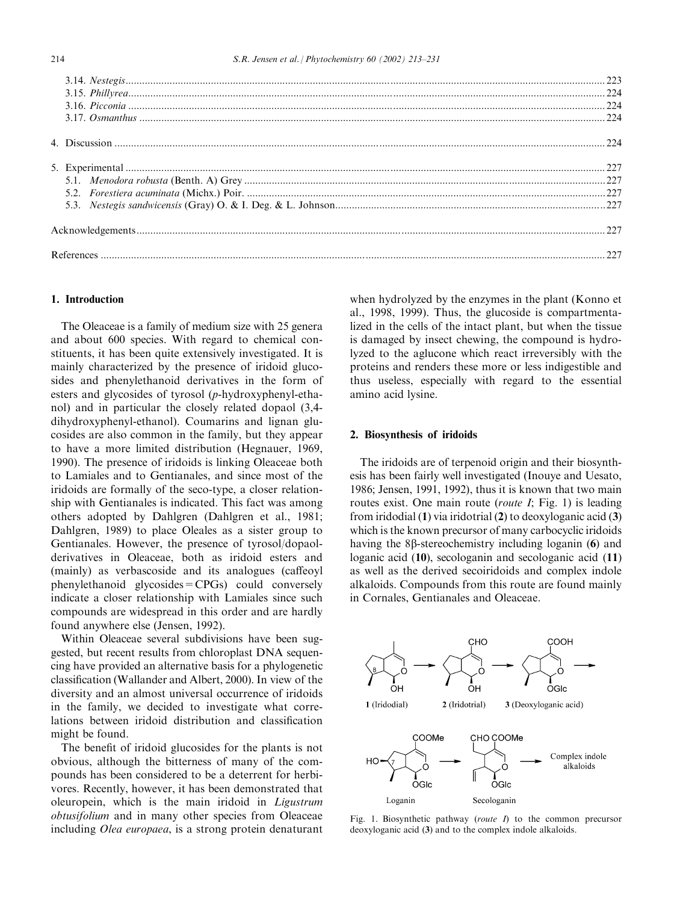# 1. Introduction

The Oleaceae is a family of medium size with 25 genera and about 600 species. With regard to chemical constituents, it has been quite extensively investigated. It is mainly characterized by the presence of iridoid glucosides and phenylethanoid derivatives in the form of esters and glycosides of tyrosol (p-hydroxyphenyl-ethanol) and in particular the closely related dopaol (3,4 dihydroxyphenyl-ethanol). Coumarins and lignan glucosides are also common in the family, but they appear to have a more limited distribution (Hegnauer, 1969, 1990). The presence of iridoids is linking Oleaceae both to Lamiales and to Gentianales, and since most of the iridoids are formally of the seco-type, a closer relationship with Gentianales is indicated. This fact was among others adopted by Dahlgren (Dahlgren et al., 1981; Dahlgren, 1989) to place Oleales as a sister group to Gentianales. However, the presence of tyrosol/dopaolderivatives in Oleaceae, both as iridoid esters and (mainly) as verbascoside and its analogues (caffeoyl phenylethanoid glycosides=CPGs) could conversely indicate a closer relationship with Lamiales since such compounds are widespread in this order and are hardly found anywhere else (Jensen, 1992).

Within Oleaceae several subdivisions have been suggested, but recent results from chloroplast DNA sequencing have provided an alternative basis for a phylogenetic classification (Wallander and Albert, 2000). In view of the diversity and an almost universal occurrence of iridoids in the family, we decided to investigate what correlations between iridoid distribution and classification might be found.

The benefit of iridoid glucosides for the plants is not obvious, although the bitterness of many of the compounds has been considered to be a deterrent for herbivores. Recently, however, it has been demonstrated that oleuropein, which is the main iridoid in Ligustrum obtusifolium and in many other species from Oleaceae including Olea europaea, is a strong protein denaturant

when hydrolyzed by the enzymes in the plant (Konno et al., 1998, 1999). Thus, the glucoside is compartmentalized in the cells of the intact plant, but when the tissue is damaged by insect chewing, the compound is hydrolyzed to the aglucone which react irreversibly with the proteins and renders these more or less indigestible and thus useless, especially with regard to the essential amino acid lysine.

### 2. Biosynthesis of iridoids

The iridoids are of terpenoid origin and their biosynthesis has been fairly well investigated (Inouye and Uesato, 1986; Jensen, 1991, 1992), thus it is known that two main routes exist. One main route (*route I*: Fig. 1) is leading from iridodial (1) via iridotrial (2) to deoxyloganic acid (3) which is the known precursor of many carbocyclic iridoids having the 8 $\beta$ -stereochemistry including loganin (6) and loganic acid (10), secologanin and secologanic acid (11) as well as the derived secoiridoids and complex indole alkaloids. Compounds from this route are found mainly in Cornales, Gentianales and Oleaceae.



Fig. 1. Biosynthetic pathway (*route I*) to the common precursor deoxyloganic acid (3) and to the complex indole alkaloids.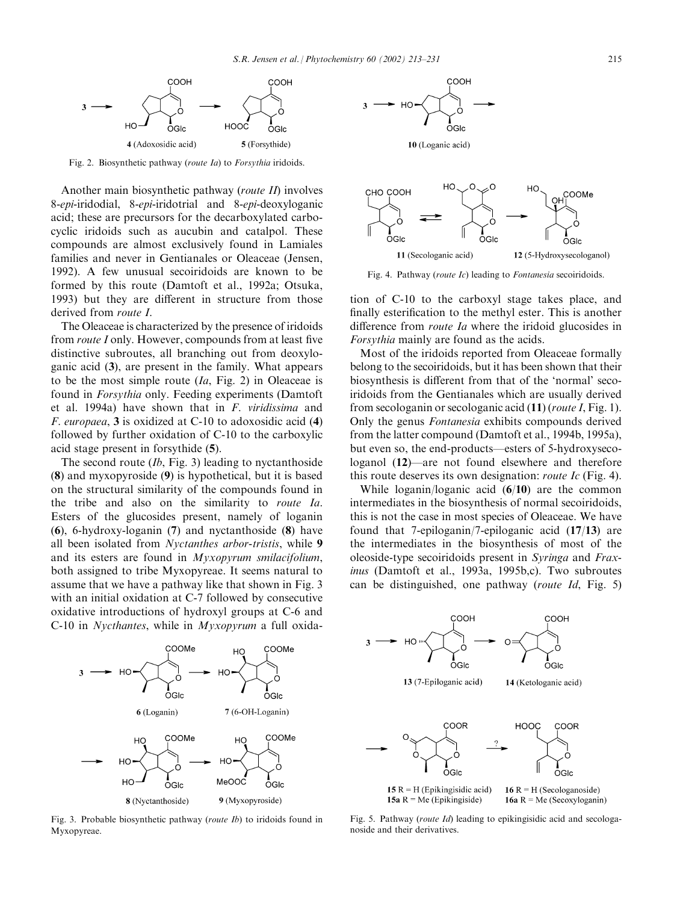

Fig. 2. Biosynthetic pathway (route Ia) to Forsythia iridoids.

Another main biosynthetic pathway (route II) involves 8-epi-iridodial, 8-epi-iridotrial and 8-epi-deoxyloganic acid; these are precursors for the decarboxylated carbocyclic iridoids such as aucubin and catalpol. These compounds are almost exclusively found in Lamiales families and never in Gentianales or Oleaceae (Jensen, 1992). A few unusual secoiridoids are known to be formed by this route (Damtoft et al., 1992a; Otsuka, 1993) but they are different in structure from those derived from route I.

The Oleaceae is characterized by the presence of iridoids from route I only. However, compounds from at least five distinctive subroutes, all branching out from deoxyloganic acid (3), are present in the family. What appears to be the most simple route  $(I_a, Fig. 2)$  in Oleaceae is found in Forsythia only. Feeding experiments (Damtoft et al. 1994a) have shown that in F. viridissima and F. europaea, 3 is oxidized at C-10 to adoxosidic acid (4) followed by further oxidation of C-10 to the carboxylic acid stage present in forsythide (5).

The second route  $(Ib, Fig. 3)$  leading to nyctanthoside (8) and myxopyroside (9) is hypothetical, but it is based on the structural similarity of the compounds found in the tribe and also on the similarity to route Ia. Esters of the glucosides present, namely of loganin (6), 6-hydroxy-loganin (7) and nyctanthoside (8) have all been isolated from Nyctanthes arbor-tristis, while 9 and its esters are found in Myxopyrum smilacifolium, both assigned to tribe Myxopyreae. It seems natural to assume that we have a pathway like that shown in Fig. 3 with an initial oxidation at C-7 followed by consecutive oxidative introductions of hydroxyl groups at C-6 and C-10 in Nycthantes, while in Myxopyrum a full oxida-



Fig. 3. Probable biosynthetic pathway (route Ib) to iridoids found in Myxopyreae.





Fig. 4. Pathway (route Ic) leading to Fontanesia secoiridoids.

tion of C-10 to the carboxyl stage takes place, and finally esterification to the methyl ester. This is another difference from *route Ia* where the iridoid glucosides in Forsythia mainly are found as the acids.

Most of the iridoids reported from Oleaceae formally belong to the secoiridoids, but it has been shown that their biosynthesis is different from that of the 'normal' secoiridoids from the Gentianales which are usually derived from secologanin or secologanic acid (11) (route I, Fig. 1). Only the genus Fontanesia exhibits compounds derived from the latter compound (Damtoft et al., 1994b, 1995a), but even so, the end-products—esters of 5-hydroxysecologanol (12)—are not found elsewhere and therefore this route deserves its own designation: route Ic (Fig. 4).

While loganin/loganic acid (6/10) are the common intermediates in the biosynthesis of normal secoiridoids, this is not the case in most species of Oleaceae. We have found that 7-epiloganin/7-epiloganic acid (17/13) are the intermediates in the biosynthesis of most of the oleoside-type secoiridoids present in Syringa and Fraxinus (Damtoft et al., 1993a, 1995b,c). Two subroutes can be distinguished, one pathway (route Id, Fig. 5)



Fig. 5. Pathway (route Id) leading to epikingisidic acid and secologanoside and their derivatives.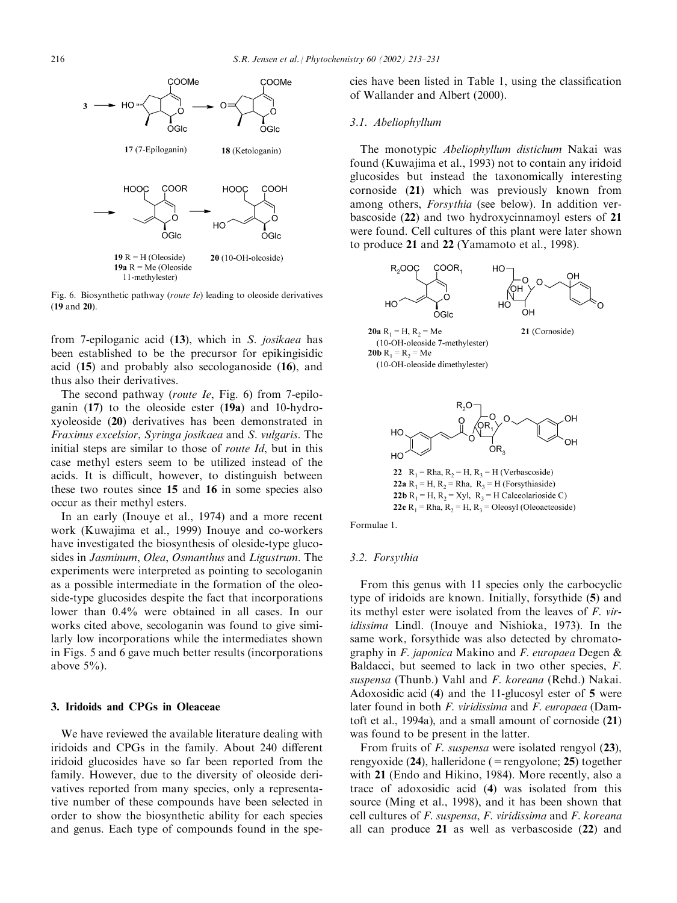

Fig. 6. Biosynthetic pathway (route Ie) leading to oleoside derivatives (19 and 20).

from 7-epiloganic acid (13), which in S. josikaea has been established to be the precursor for epikingisidic acid (15) and probably also secologanoside (16), and thus also their derivatives.

The second pathway (route Ie, Fig. 6) from 7-epiloganin (17) to the oleoside ester (19a) and 10-hydroxyoleoside (20) derivatives has been demonstrated in Fraxinus excelsior, Syringa josikaea and S. vulgaris. The initial steps are similar to those of *route Id*, but in this case methyl esters seem to be utilized instead of the acids. It is difficult, however, to distinguish between these two routes since 15 and 16 in some species also occur as their methyl esters.

In an early (Inouye et al., 1974) and a more recent work (Kuwajima et al., 1999) Inouye and co-workers have investigated the biosynthesis of oleside-type glucosides in Jasminum, Olea, Osmanthus and Ligustrum. The experiments were interpreted as pointing to secologanin as a possible intermediate in the formation of the oleoside-type glucosides despite the fact that incorporations lower than 0.4% were obtained in all cases. In our works cited above, secologanin was found to give similarly low incorporations while the intermediates shown in Figs. 5 and 6 gave much better results (incorporations above  $5\%$ ).

## 3. Iridoids and CPGs in Oleaceae

We have reviewed the available literature dealing with iridoids and CPGs in the family. About 240 different iridoid glucosides have so far been reported from the family. However, due to the diversity of oleoside derivatives reported from many species, only a representative number of these compounds have been selected in order to show the biosynthetic ability for each species and genus. Each type of compounds found in the species have been listed in Table 1, using the classification of Wallander and Albert (2000).

#### 3.1. Abeliophyllum

The monotypic Abeliophyllum distichum Nakai was found (Kuwajima et al., 1993) not to contain any iridoid glucosides but instead the taxonomically interesting cornoside (21) which was previously known from among others, Forsythia (see below). In addition verbascoside (22) and two hydroxycinnamoyl esters of 21 were found. Cell cultures of this plant were later shown to produce 21 and 22 (Yamamoto et al., 1998).



22 R<sub>1</sub> = Rha, R<sub>2</sub> = H, R<sub>3</sub> = H (Verbascoside) 22a R<sub>1</sub> = H, R<sub>2</sub> = Rha, R<sub>3</sub> = H (Forsythiaside) 22b R<sub>1</sub> = H, R<sub>2</sub> = Xyl, R<sub>3</sub> = H Calceolarioside C) 22c R<sub>1</sub> = Rha, R<sub>2</sub> = H, R<sub>3</sub> = Oleosyl (Oleoacteoside)

Formulae 1.

### 3.2. Forsythia

From this genus with 11 species only the carbocyclic type of iridoids are known. Initially, forsythide (5) and its methyl ester were isolated from the leaves of F. viridissima Lindl. (Inouye and Nishioka, 1973). In the same work, forsythide was also detected by chromatography in F. japonica Makino and F. europaea Degen & Baldacci, but seemed to lack in two other species, F. suspensa (Thunb.) Vahl and F. koreana (Rehd.) Nakai. Adoxosidic acid (4) and the 11-glucosyl ester of 5 were later found in both F. viridissima and F. europaea (Damtoft et al., 1994a), and a small amount of cornoside (21) was found to be present in the latter.

From fruits of *F. suspensa* were isolated rengyol (23), rengyoxide  $(24)$ , halleridone (=rengyolone; 25) together with 21 (Endo and Hikino, 1984). More recently, also a trace of adoxosidic acid (4) was isolated from this source (Ming et al., 1998), and it has been shown that cell cultures of F. suspensa, F. viridissima and F. koreana all can produce 21 as well as verbascoside (22) and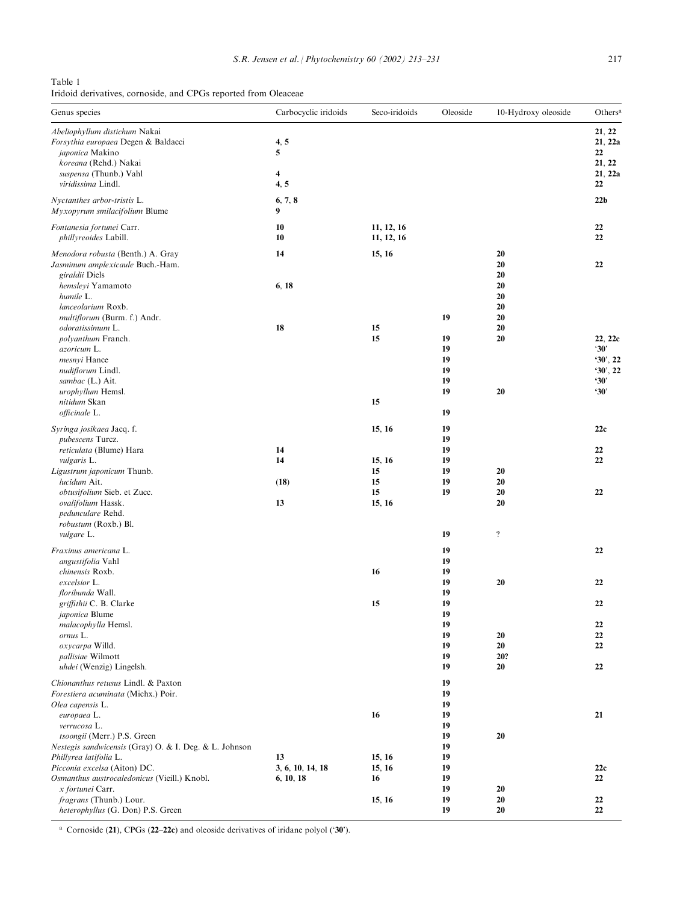Table 1 Iridoid derivatives, cornoside, and CPGs reported from Oleaceae

| Genus species                                                                           | Carbocyclic iridoids | Seco-iridoids            | Oleoside | 10-Hydroxy oleoside     | Others <sup>a</sup>      |
|-----------------------------------------------------------------------------------------|----------------------|--------------------------|----------|-------------------------|--------------------------|
| Abeliophyllum distichum Nakai<br>Forsythia europaea Degen & Baldacci<br>japonica Makino | 4, 5<br>5            |                          |          |                         | 21, 22<br>21, 22a<br>22  |
| koreana (Rehd.) Nakai<br>suspensa (Thunb.) Vahl                                         | 4                    |                          |          |                         | 21, 22<br>21, 22a        |
| viridissima Lindl.                                                                      | 4, 5                 |                          |          |                         | 22                       |
| Nyctanthes arbor-tristis L.<br>Myxopyrum smilacifolium Blume                            | 6, 7, 8<br>9         |                          |          |                         | 22 <sub>b</sub>          |
| Fontanesia fortunei Carr.<br>phillyreoides Labill.                                      | 10<br>10             | 11, 12, 16<br>11, 12, 16 |          |                         | 22<br>22                 |
| Menodora robusta (Benth.) A. Gray<br>Jasminum amplexicaule Buch.-Ham.<br>giraldii Diels | 14                   | 15, 16                   |          | 20<br>20<br>20          | 22                       |
| hemsleyi Yamamoto<br>humile L.<br>lanceolarium Roxb.                                    | 6, 18                |                          |          | 20<br>20<br>20          |                          |
| multiflorum (Burm. f.) Andr.                                                            |                      |                          | 19       | 20                      |                          |
| odoratissimum L.<br>polyanthum Franch.                                                  | 18                   | 15<br>15                 | 19       | 20<br>20                | 22, 22c                  |
| azoricum L.                                                                             |                      |                          | 19       |                         | $30^\circ$               |
| mesnyi Hance                                                                            |                      |                          | 19       |                         | 90, 22                   |
| nudiflorum Lindl.                                                                       |                      |                          | 19       |                         | 90, 22                   |
| sambac (L.) Ait.<br>urophyllum Hemsl.                                                   |                      |                          | 19<br>19 | 20                      | $30^\circ$<br>$30^\circ$ |
| nitidum Skan                                                                            |                      | 15                       |          |                         |                          |
| officinale L.                                                                           |                      |                          | 19       |                         |                          |
| Syringa josikaea Jacq. f.<br>pubescens Turcz.                                           |                      | 15, 16                   | 19<br>19 |                         | 22c                      |
| reticulata (Blume) Hara                                                                 | 14                   |                          | 19       |                         | 22                       |
| <i>vulgaris</i> L.                                                                      | 14                   | 15, 16                   | 19       |                         | 22                       |
| Ligustrum japonicum Thunb.                                                              |                      | 15                       | 19       | 20                      |                          |
| lucidum Ait.<br>obtusifolium Sieb. et Zucc.                                             | (18)                 | 15<br>15                 | 19<br>19 | 20<br>20                | 22                       |
| ovalifolium Hassk.                                                                      | 13                   | 15, 16                   |          | 20                      |                          |
| pedunculare Rehd.                                                                       |                      |                          |          |                         |                          |
| robustum (Roxb.) Bl.<br><i>vulgare</i> L.                                               |                      |                          | 19       | $\overline{\mathbf{?}}$ |                          |
| Fraxinus americana L.                                                                   |                      |                          | 19       |                         | 22                       |
| angustifolia Vahl                                                                       |                      |                          | 19       |                         |                          |
| chinensis Roxb.                                                                         |                      | 16                       | 19       |                         |                          |
| excelsior L.                                                                            |                      |                          | 19       | 20                      | 22                       |
| floribunda Wall.                                                                        |                      |                          | 19<br>19 |                         | 22                       |
| griffithii C. B. Clarke<br>japonica Blume                                               |                      | 15                       | 19       |                         |                          |
| malacophylla Hemsl.                                                                     |                      |                          | 19       |                         | 22                       |
| ornus L.                                                                                |                      |                          | 19       | 20                      | 22                       |
| oxycarpa Willd.                                                                         |                      |                          | 19       | 20                      | 22                       |
| pallisiae Wilmott<br>uhdei (Wenzig) Lingelsh.                                           |                      |                          | 19<br>19 | 20?<br>20               | 22                       |
| Chionanthus retusus Lindl. & Paxton                                                     |                      |                          | 19       |                         |                          |
| Forestiera acuminata (Michx.) Poir.                                                     |                      |                          | 19       |                         |                          |
| Olea capensis L.                                                                        |                      |                          | 19       |                         |                          |
| europaea L.                                                                             |                      | 16                       | 19       |                         | 21                       |
| verrucosa L.                                                                            |                      |                          | 19       |                         |                          |
| tsoongii (Merr.) P.S. Green<br>Nestegis sandwicensis (Gray) O. & I. Deg. & L. Johnson   |                      |                          | 19<br>19 | 20                      |                          |
| Phillyrea latifolia L.                                                                  | 13                   | 15, 16                   | 19       |                         |                          |
| Picconia excelsa (Aiton) DC.                                                            | 3, 6, 10, 14, 18     | 15, 16                   | 19       |                         | 22c                      |
| Osmanthus austrocaledonicus (Vieill.) Knobl.                                            | 6, 10, 18            | 16                       | 19       |                         | 22                       |
| <i>x fortunei</i> Carr.<br>fragrans (Thunb.) Lour.                                      |                      | 15, 16                   | 19<br>19 | 20<br>20                | 22                       |
| heterophyllus (G. Don) P.S. Green                                                       |                      |                          | 19       | 20                      | 22                       |

<sup>a</sup> Cornoside (21), CPGs (22-22c) and oleoside derivatives of iridane polyol ('30').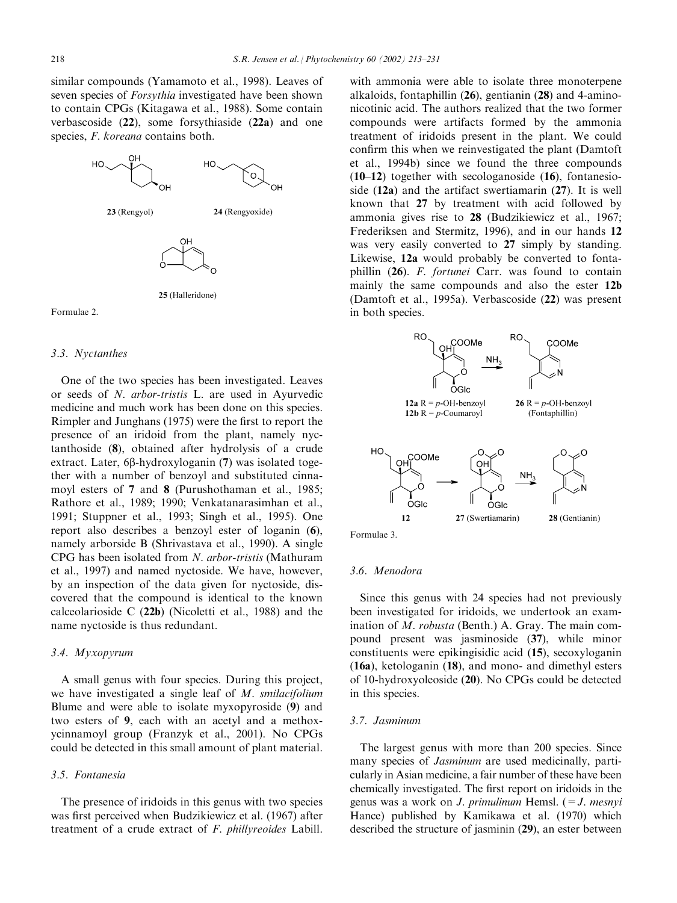similar compounds (Yamamoto et al., 1998). Leaves of seven species of *Forsythia* investigated have been shown to contain CPGs (Kitagawa et al., 1988). Some contain verbascoside (22), some forsythiaside (22a) and one species, *F. koreana* contains both.



#### Formulae 2.

### 3.3. Nyctanthes

One of the two species has been investigated. Leaves or seeds of N. arbor-tristis L. are used in Ayurvedic medicine and much work has been done on this species. Rimpler and Junghans (1975) were the first to report the presence of an iridoid from the plant, namely nyctanthoside (8), obtained after hydrolysis of a crude extract. Later,  $6\beta$ -hydroxyloganin  $(7)$  was isolated together with a number of benzoyl and substituted cinnamoyl esters of 7 and 8 (Purushothaman et al., 1985; Rathore et al., 1989; 1990; Venkatanarasimhan et al., 1991; Stuppner et al., 1993; Singh et al., 1995). One report also describes a benzoyl ester of loganin (6), namely arborside B (Shrivastava et al., 1990). A single CPG has been isolated from N. arbor-tristis (Mathuram et al., 1997) and named nyctoside. We have, however, by an inspection of the data given for nyctoside, discovered that the compound is identical to the known calceolarioside C (22b) (Nicoletti et al., 1988) and the name nyctoside is thus redundant.

# 3.4. Myxopyrum

A small genus with four species. During this project, we have investigated a single leaf of M. smilacifolium Blume and were able to isolate myxopyroside (9) and two esters of 9, each with an acetyl and a methoxycinnamoyl group (Franzyk et al., 2001). No CPGs could be detected in this small amount of plant material.

# 3.5. Fontanesia

The presence of iridoids in this genus with two species was first perceived when Budzikiewicz et al. (1967) after treatment of a crude extract of F. phillyreoides Labill.

with ammonia were able to isolate three monoterpene alkaloids, fontaphillin (26), gentianin (28) and 4-aminonicotinic acid. The authors realized that the two former compounds were artifacts formed by the ammonia treatment of iridoids present in the plant. We could confirm this when we reinvestigated the plant (Damtoft et al., 1994b) since we found the three compounds  $(10-12)$  together with secologanoside  $(16)$ , fontanesioside (12a) and the artifact swertiamarin (27). It is well known that 27 by treatment with acid followed by ammonia gives rise to 28 (Budzikiewicz et al., 1967; Frederiksen and Stermitz, 1996), and in our hands 12 was very easily converted to 27 simply by standing. Likewise, 12a would probably be converted to fontaphillin (26). F. fortunei Carr. was found to contain mainly the same compounds and also the ester 12b (Damtoft et al., 1995a). Verbascoside (22) was present in both species.





# 3.6. Menodora

Since this genus with 24 species had not previously been investigated for iridoids, we undertook an examination of M. robusta (Benth.) A. Gray. The main compound present was jasminoside (37), while minor constituents were epikingisidic acid (15), secoxyloganin (16a), ketologanin (18), and mono- and dimethyl esters of 10-hydroxyoleoside (20). No CPGs could be detected in this species.

## 3.7. Jasminum

The largest genus with more than 200 species. Since many species of *Jasminum* are used medicinally, particularly in Asian medicine, a fair number of these have been chemically investigated. The first report on iridoids in the genus was a work on *J. primulinum* Hemsl.  $(=J.$  mesnyi Hance) published by Kamikawa et al. (1970) which described the structure of jasminin (29), an ester between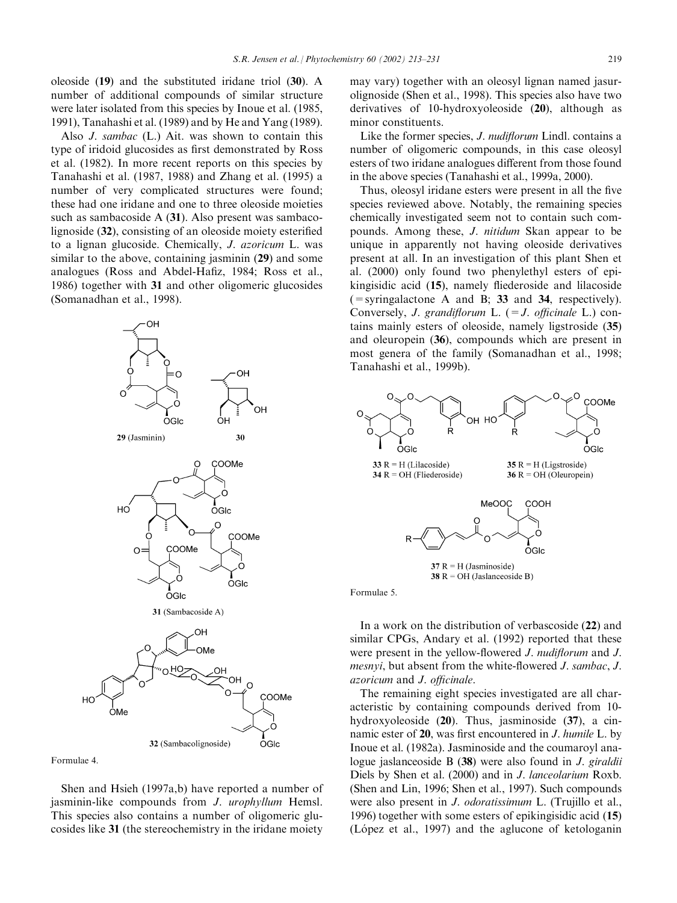oleoside (19) and the substituted iridane triol (30). A number of additional compounds of similar structure were later isolated from this species by Inoue et al. (1985, 1991), Tanahashi et al. (1989) and by He and Yang (1989).

Also J. sambac (L.) Ait. was shown to contain this type of iridoid glucosides as first demonstrated by Ross et al. (1982). In more recent reports on this species by Tanahashi et al. (1987, 1988) and Zhang et al. (1995) a number of very complicated structures were found; these had one iridane and one to three oleoside moieties such as sambacoside A (31). Also present was sambacolignoside (32), consisting of an oleoside moiety esterified to a lignan glucoside. Chemically, J. azoricum L. was similar to the above, containing jasminin (29) and some analogues (Ross and Abdel-Hafiz, 1984; Ross et al., 1986) together with 31 and other oligomeric glucosides (Somanadhan et al., 1998).



Formulae 4.

Shen and Hsieh (1997a,b) have reported a number of jasminin-like compounds from J. urophyllum Hemsl. This species also contains a number of oligomeric glucosides like 31 (the stereochemistry in the iridane moiety

may vary) together with an oleosyl lignan named jasurolignoside (Shen et al., 1998). This species also have two derivatives of 10-hydroxyoleoside (20), although as minor constituents.

Like the former species, *J. nudiflorum* Lindl. contains a number of oligomeric compounds, in this case oleosyl esters of two iridane analogues different from those found in the above species (Tanahashi et al., 1999a, 2000).

Thus, oleosyl iridane esters were present in all the five species reviewed above. Notably, the remaining species chemically investigated seem not to contain such compounds. Among these, J. nitidum Skan appear to be unique in apparently not having oleoside derivatives present at all. In an investigation of this plant Shen et al. (2000) only found two phenylethyl esters of epikingisidic acid (15), namely fliederoside and lilacoside  $($  = syringalactone A and B; 33 and 34, respectively). Conversely, *J. grandiflorum* L.  $(=J.$  *officinale* L.) contains mainly esters of oleoside, namely ligstroside (35) and oleuropein (36), compounds which are present in most genera of the family (Somanadhan et al., 1998; Tanahashi et al., 1999b).



Formulae 5.

In a work on the distribution of verbascoside (22) and similar CPGs, Andary et al. (1992) reported that these were present in the yellow-flowered *J. nudiflorum* and *J.* mesnyi, but absent from the white-flowered J. sambac, J. azoricum and J. officinale.

The remaining eight species investigated are all characteristic by containing compounds derived from 10 hydroxyoleoside (20). Thus, jasminoside (37), a cinnamic ester of 20, was first encountered in J. humile L. by Inoue et al. (1982a). Jasminoside and the coumaroyl analogue jaslanceoside B (38) were also found in J. giraldii Diels by Shen et al. (2000) and in J. lanceolarium Roxb. (Shen and Lin, 1996; Shen et al., 1997). Such compounds were also present in J. odoratissimum L. (Trujillo et al., 1996) together with some esters of epikingisidic acid (15) (López et al., 1997) and the aglucone of ketologanin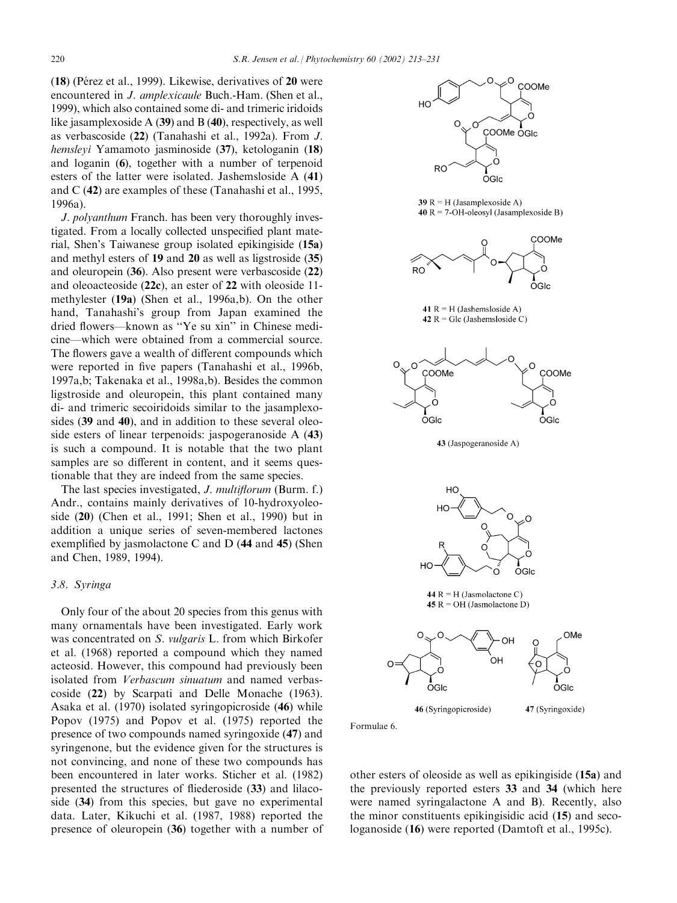$(18)$  (Pérez et al., 1999). Likewise, derivatives of 20 were encountered in J. amplexicaule Buch.-Ham. (Shen et al., 1999), which also contained some di- and trimeric iridoids like jasamplexoside A (39) and B (40), respectively, as well as verbascoside (22) (Tanahashi et al., 1992a). From J. hemsleyi Yamamoto jasminoside (37), ketologanin (18) and loganin (6), together with a number of terpenoid esters of the latter were isolated. Jashemsloside A (41) and C (42) are examples of these (Tanahashi et al., 1995, 1996a).

J. polyanthum Franch. has been very thoroughly investigated. From a locally collected unspecified plant material, Shen's Taiwanese group isolated epikingiside (15a) and methyl esters of 19 and 20 as well as ligstroside (35) and oleuropein (36). Also present were verbascoside (22) and oleoacteoside (22c), an ester of 22 with oleoside 11 methylester (19a) (Shen et al., 1996a,b). On the other hand, Tanahashi's group from Japan examined the dried flowers—known as ''Ye su xin'' in Chinese medicine—which were obtained from a commercial source. The flowers gave a wealth of different compounds which were reported in five papers (Tanahashi et al., 1996b, 1997a,b; Takenaka et al., 1998a,b). Besides the common ligstroside and oleuropein, this plant contained many di- and trimeric secoiridoids similar to the jasamplexosides (39 and 40), and in addition to these several oleoside esters of linear terpenoids: jaspogeranoside A (43) is such a compound. It is notable that the two plant samples are so different in content, and it seems questionable that they are indeed from the same species.

The last species investigated, *J. multiflorum* (Burm. f.) Andr., contains mainly derivatives of 10-hydroxyoleoside (20) (Chen et al., 1991; Shen et al., 1990) but in addition a unique series of seven-membered lactones exemplified by jasmolactone C and D (44 and 45) (Shen and Chen, 1989, 1994).

# 3.8. Syringa

Only four of the about 20 species from this genus with many ornamentals have been investigated. Early work was concentrated on S. vulgaris L. from which Birkofer et al. (1968) reported a compound which they named acteosid. However, this compound had previously been isolated from Verbascum sinuatum and named verbascoside (22) by Scarpati and Delle Monache (1963). Asaka et al. (1970) isolated syringopicroside (46) while Popov (1975) and Popov et al. (1975) reported the presence of two compounds named syringoxide (47) and syringenone, but the evidence given for the structures is not convincing, and none of these two compounds has been encountered in later works. Sticher et al. (1982) presented the structures of fliederoside (33) and lilacoside (34) from this species, but gave no experimental data. Later, Kikuchi et al. (1987, 1988) reported the presence of oleuropein (36) together with a number of



Formulae 6.

other esters of oleoside as well as epikingiside (15a) and the previously reported esters 33 and 34 (which here were named syringalactone A and B). Recently, also the minor constituents epikingisidic acid (15) and secologanoside (16) were reported (Damtoft et al., 1995c).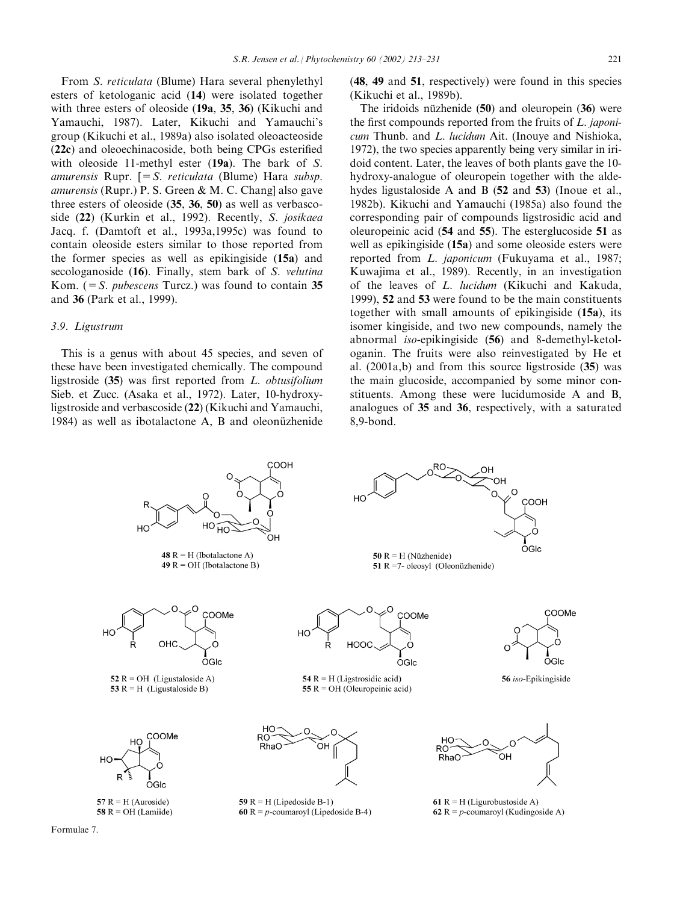From S. reticulata (Blume) Hara several phenylethyl esters of ketologanic acid (14) were isolated together with three esters of oleoside (19a, 35, 36) (Kikuchi and Yamauchi, 1987). Later, Kikuchi and Yamauchi's group (Kikuchi et al., 1989a) also isolated oleoacteoside (22c) and oleoechinacoside, both being CPGs esterified with oleoside 11-methyl ester (19a). The bark of S. amurensis Rupr.  $[=S$ . reticulata (Blume) Hara subsp. amurensis (Rupr.) P. S. Green & M. C. Chang] also gave three esters of oleoside (35, 36, 50) as well as verbascoside (22) (Kurkin et al., 1992). Recently, S. josikaea Jacq. f. (Damtoft et al., 1993a,1995c) was found to contain oleoside esters similar to those reported from the former species as well as epikingiside (15a) and secologanoside (16). Finally, stem bark of S. velutina Kom.  $(=S. \text{pubescens Turcz})$  was found to contain 35 and 36 (Park et al., 1999).

# 3.9. Ligustrum

This is a genus with about 45 species, and seven of these have been investigated chemically. The compound ligstroside (35) was first reported from L. obtusifolium Sieb. et Zucc. (Asaka et al., 1972). Later, 10-hydroxyligstroside and verbascoside (22) (Kikuchi and Yamauchi, 1984) as well as ibotalactone A, B and oleonüzhenide

(48, 49 and 51, respectively) were found in this species (Kikuchi et al., 1989b).

The iridoids nüzhenide  $(50)$  and oleuropein  $(36)$  were the first compounds reported from the fruits of L. japonicum Thunb. and L. lucidum Ait. (Inouye and Nishioka, 1972), the two species apparently being very similar in iridoid content. Later, the leaves of both plants gave the 10 hydroxy-analogue of oleuropein together with the aldehydes ligustaloside A and B (52 and 53) (Inoue et al., 1982b). Kikuchi and Yamauchi (1985a) also found the corresponding pair of compounds ligstrosidic acid and oleuropeinic acid (54 and 55). The esterglucoside 51 as well as epikingiside (15a) and some oleoside esters were reported from L. japonicum (Fukuyama et al., 1987; Kuwajima et al., 1989). Recently, in an investigation of the leaves of L. lucidum (Kikuchi and Kakuda, 1999), 52 and 53 were found to be the main constituents together with small amounts of epikingiside (15a), its isomer kingiside, and two new compounds, namely the abnormal iso-epikingiside (56) and 8-demethyl-ketologanin. The fruits were also reinvestigated by He et al. (2001a,b) and from this source ligstroside (35) was the main glucoside, accompanied by some minor constituents. Among these were lucidumoside A and B, analogues of 35 and 36, respectively, with a saturated 8,9-bond.



Formulae 7.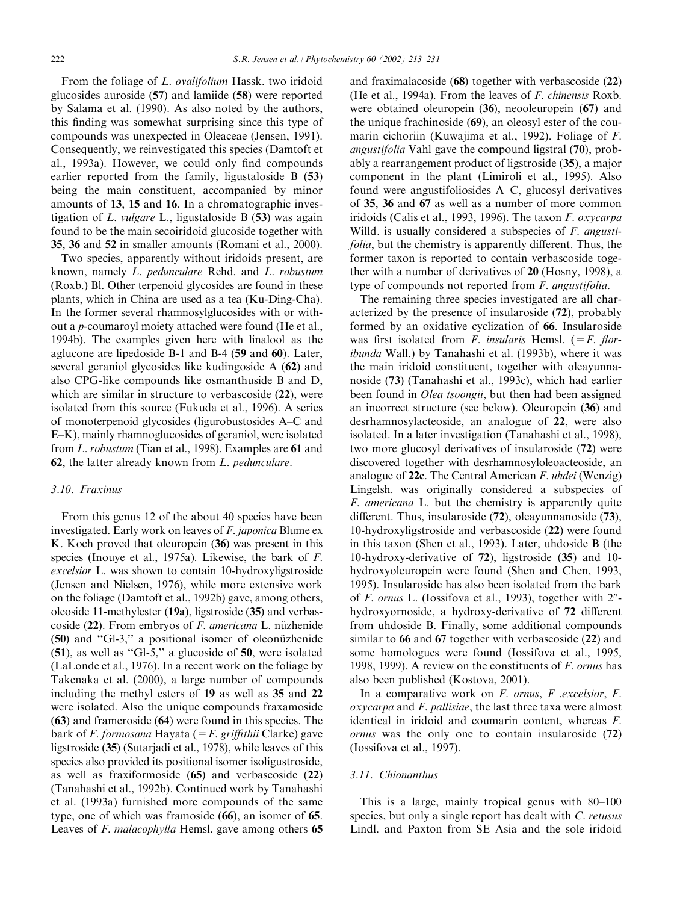From the foliage of L. ovalifolium Hassk. two iridoid glucosides auroside (57) and lamiide (58) were reported by Salama et al. (1990). As also noted by the authors, this finding was somewhat surprising since this type of compounds was unexpected in Oleaceae (Jensen, 1991). Consequently, we reinvestigated this species (Damtoft et al., 1993a). However, we could only find compounds earlier reported from the family, ligustaloside B (53) being the main constituent, accompanied by minor amounts of 13, 15 and 16. In a chromatographic investigation of  $L$ . *vulgare*  $L$ ., ligustaloside  $B(53)$  was again found to be the main secoiridoid glucoside together with 35, 36 and 52 in smaller amounts (Romani et al., 2000).

Two species, apparently without iridoids present, are known, namely L. pedunculare Rehd. and L. robustum (Roxb.) Bl. Other terpenoid glycosides are found in these plants, which in China are used as a tea (Ku-Ding-Cha). In the former several rhamnosylglucosides with or without a p-coumaroyl moiety attached were found (He et al., 1994b). The examples given here with linalool as the aglucone are lipedoside B-1 and B-4 (59 and 60). Later, several geraniol glycosides like kudingoside A (62) and also CPG-like compounds like osmanthuside B and D, which are similar in structure to verbascoside (22), were isolated from this source (Fukuda et al., 1996). A series of monoterpenoid glycosides (ligurobustosides A–C and E–K), mainly rhamnoglucosides of geraniol, were isolated from L. robustum (Tian et al., 1998). Examples are 61 and 62, the latter already known from L. pedunculare.

### 3.10. Fraxinus

From this genus 12 of the about 40 species have been investigated. Early work on leaves of F. japonica Blume ex K. Koch proved that oleuropein (36) was present in this species (Inouye et al., 1975a). Likewise, the bark of F. excelsior L. was shown to contain 10-hydroxyligstroside (Jensen and Nielsen, 1976), while more extensive work on the foliage (Damtoft et al., 1992b) gave, among others, oleoside 11-methylester (19a), ligstroside (35) and verbascoside  $(22)$ . From embryos of *F. americana* L. nüzhenide (50) and "Gl-3," a positional isomer of oleonüzhenide (51), as well as ''Gl-5,'' a glucoside of 50, were isolated (LaLonde et al., 1976). In a recent work on the foliage by Takenaka et al. (2000), a large number of compounds including the methyl esters of 19 as well as 35 and 22 were isolated. Also the unique compounds fraxamoside (63) and frameroside (64) were found in this species. The bark of *F. formosana* Hayata ( $=F$ . griffithii Clarke) gave ligstroside (35) (Sutarjadi et al., 1978), while leaves of this species also provided its positional isomer isoligustroside, as well as fraxiformoside (65) and verbascoside (22) (Tanahashi et al., 1992b). Continued work by Tanahashi et al. (1993a) furnished more compounds of the same type, one of which was framoside (66), an isomer of 65. Leaves of *F. malacophylla* Hemsl. gave among others 65

and fraximalacoside (68) together with verbascoside (22) (He et al., 1994a). From the leaves of F. chinensis Roxb. were obtained oleuropein (36), neooleuropein (67) and the unique frachinoside (69), an oleosyl ester of the coumarin cichoriin (Kuwajima et al., 1992). Foliage of F. angustifolia Vahl gave the compound ligstral (70), probably a rearrangement product of ligstroside (35), a major component in the plant (Limiroli et al., 1995). Also found were angustifoliosides A–C, glucosyl derivatives of 35, 36 and 67 as well as a number of more common iridoids (Calis et al., 1993, 1996). The taxon F. oxycarpa Willd. is usually considered a subspecies of *F. angusti*folia, but the chemistry is apparently different. Thus, the former taxon is reported to contain verbascoside together with a number of derivatives of 20 (Hosny, 1998), a type of compounds not reported from F. angustifolia.

The remaining three species investigated are all characterized by the presence of insularoside (72), probably formed by an oxidative cyclization of 66. Insularoside was first isolated from F. insularis Hemsl.  $(=F.$  floribunda Wall.) by Tanahashi et al. (1993b), where it was the main iridoid constituent, together with oleayunnanoside (73) (Tanahashi et al., 1993c), which had earlier been found in *Olea tsoongii*, but then had been assigned an incorrect structure (see below). Oleuropein (36) and desrhamnosylacteoside, an analogue of 22, were also isolated. In a later investigation (Tanahashi et al., 1998), two more glucosyl derivatives of insularoside (72) were discovered together with desrhamnosyloleoacteoside, an analogue of 22c. The Central American F. uhdei (Wenzig) Lingelsh. was originally considered a subspecies of F. americana L. but the chemistry is apparently quite different. Thus, insularoside (72), oleayunnanoside (73), 10-hydroxyligstroside and verbascoside (22) were found in this taxon (Shen et al., 1993). Later, uhdoside B (the 10-hydroxy-derivative of 72), ligstroside (35) and 10 hydroxyoleuropein were found (Shen and Chen, 1993, 1995). Insularoside has also been isolated from the bark of F. ornus L. (Iossifova et al., 1993), together with  $2^{\prime\prime}$ hydroxyornoside, a hydroxy-derivative of 72 different from uhdoside B. Finally, some additional compounds similar to 66 and 67 together with verbascoside (22) and some homologues were found (Iossifova et al., 1995, 1998, 1999). A review on the constituents of F. ornus has also been published (Kostova, 2001).

In a comparative work on F. ornus, F. excelsior, F. oxycarpa and F. pallisiae, the last three taxa were almost identical in iridoid and coumarin content, whereas F. ornus was the only one to contain insularoside (72) (Iossifova et al., 1997).

# 3.11. Chionanthus

This is a large, mainly tropical genus with 80–100 species, but only a single report has dealt with C. retusus Lindl. and Paxton from SE Asia and the sole iridoid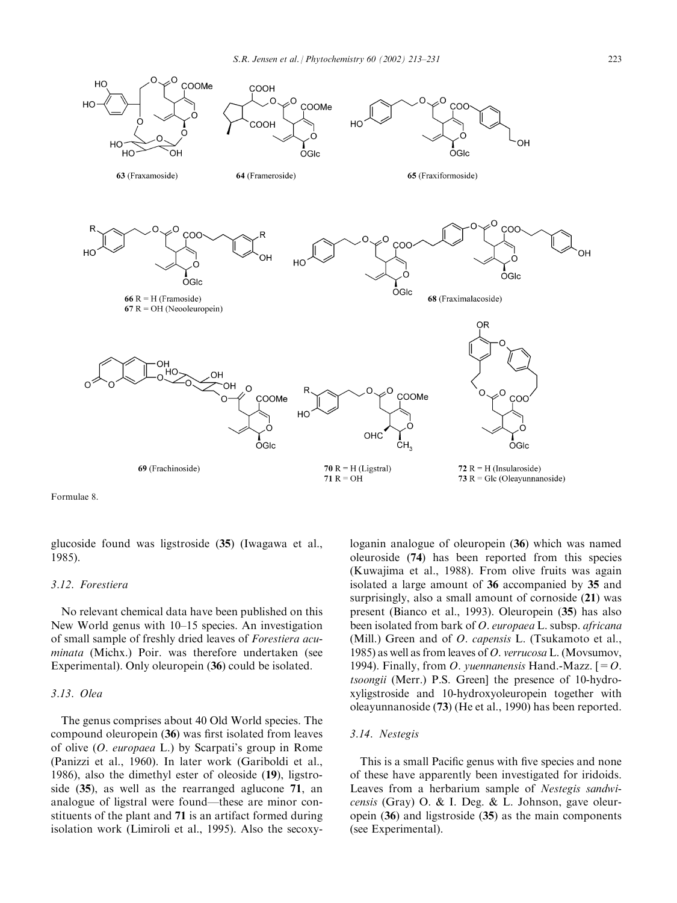

Formulae 8.

glucoside found was ligstroside (35) (Iwagawa et al., 1985).

# 3.12. Forestiera

No relevant chemical data have been published on this New World genus with 10–15 species. An investigation of small sample of freshly dried leaves of Forestiera acuminata (Michx.) Poir. was therefore undertaken (see Experimental). Only oleuropein (36) could be isolated.

### 3.13. Olea

The genus comprises about 40 Old World species. The compound oleuropein (36) was first isolated from leaves of olive (O. europaea L.) by Scarpati's group in Rome (Panizzi et al., 1960). In later work (Gariboldi et al., 1986), also the dimethyl ester of oleoside (19), ligstroside (35), as well as the rearranged aglucone 71, an analogue of ligstral were found—these are minor constituents of the plant and 71 is an artifact formed during isolation work (Limiroli et al., 1995). Also the secoxyloganin analogue of oleuropein (36) which was named oleuroside (74) has been reported from this species (Kuwajima et al., 1988). From olive fruits was again isolated a large amount of 36 accompanied by 35 and surprisingly, also a small amount of cornoside (21) was present (Bianco et al., 1993). Oleuropein (35) has also been isolated from bark of *O. europaea* L. subsp. *africana* (Mill.) Green and of *O. capensis* L. (Tsukamoto et al., 1985) as well as from leaves of O. verrucosa L. (Movsumov, 1994). Finally, from O. yuennanensis Hand.-Mazz.  $[=O.$ tsoongii (Merr.) P.S. Green] the presence of 10-hydroxyligstroside and 10-hydroxyoleuropein together with oleayunnanoside (73) (He et al., 1990) has been reported.

### 3.14. Nestegis

This is a small Pacific genus with five species and none of these have apparently been investigated for iridoids. Leaves from a herbarium sample of Nestegis sandwicensis (Gray) O. & I. Deg. & L. Johnson, gave oleuropein (36) and ligstroside (35) as the main components (see Experimental).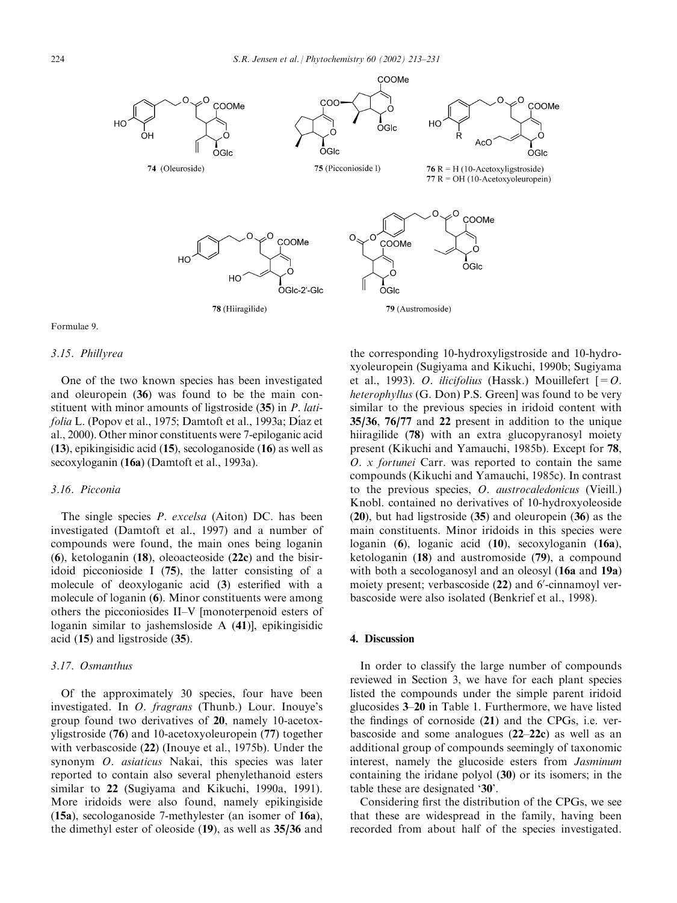

#### Formulae 9.

#### 3.15. Phillyrea

One of the two known species has been investigated and oleuropein (36) was found to be the main constituent with minor amounts of ligstroside (35) in P. latifolia L. (Popov et al., 1975; Damtoft et al., 1993a; Díaz et al., 2000). Other minor constituents were 7-epiloganic acid (13), epikingisidic acid (15), secologanoside (16) as well as secoxyloganin (16a) (Damtoft et al., 1993a).

### 3.16. Picconia

The single species *P. excelsa* (Aiton) DC. has been investigated (Damtoft et al., 1997) and a number of compounds were found, the main ones being loganin (6), ketologanin (18), oleoacteoside (22c) and the bisiridoid picconioside I (75), the latter consisting of a molecule of deoxyloganic acid (3) esterified with a molecule of loganin (6). Minor constituents were among others the picconiosides II–V [monoterpenoid esters of loganin similar to jashemsloside A (41)], epikingisidic acid (15) and ligstroside (35).

# 3.17. Osmanthus

Of the approximately 30 species, four have been investigated. In O. fragrans (Thunb.) Lour. Inouye's group found two derivatives of 20, namely 10-acetoxyligstroside (76) and 10-acetoxyoleuropein (77) together with verbascoside (22) (Inouye et al., 1975b). Under the synonym O. asiaticus Nakai, this species was later reported to contain also several phenylethanoid esters similar to 22 (Sugiyama and Kikuchi, 1990a, 1991). More iridoids were also found, namely epikingiside (15a), secologanoside 7-methylester (an isomer of 16a), the dimethyl ester of oleoside (19), as well as 35/36 and

the corresponding 10-hydroxyligstroside and 10-hydroxyoleuropein (Sugiyama and Kikuchi, 1990b; Sugiyama et al., 1993). O. *ilicifolius* (Hassk.) Mouillefert  $[=O.$ heterophyllus (G. Don) P.S. Green] was found to be very similar to the previous species in iridoid content with 35/36, 76/77 and 22 present in addition to the unique hiiragilide (78) with an extra glucopyranosyl moiety present (Kikuchi and Yamauchi, 1985b). Except for 78, O. x fortunei Carr. was reported to contain the same compounds (Kikuchi and Yamauchi, 1985c). In contrast to the previous species, O. austrocaledonicus (Vieill.) Knobl. contained no derivatives of 10-hydroxyoleoside (20), but had ligstroside (35) and oleuropein (36) as the main constituents. Minor iridoids in this species were loganin (6), loganic acid (10), secoxyloganin (16a), ketologanin (18) and austromoside (79), a compound with both a secologanosyl and an oleosyl (16a and 19a) moiety present; verbascoside (22) and 6'-cinnamoyl verbascoside were also isolated (Benkrief et al., 1998).

# 4. Discussion

In order to classify the large number of compounds reviewed in Section 3, we have for each plant species listed the compounds under the simple parent iridoid glucosides 3–20 in Table 1. Furthermore, we have listed the findings of cornoside (21) and the CPGs, i.e. verbascoside and some analogues (22–22c) as well as an additional group of compounds seemingly of taxonomic interest, namely the glucoside esters from Jasminum containing the iridane polyol (30) or its isomers; in the table these are designated '30'.

Considering first the distribution of the CPGs, we see that these are widespread in the family, having been recorded from about half of the species investigated.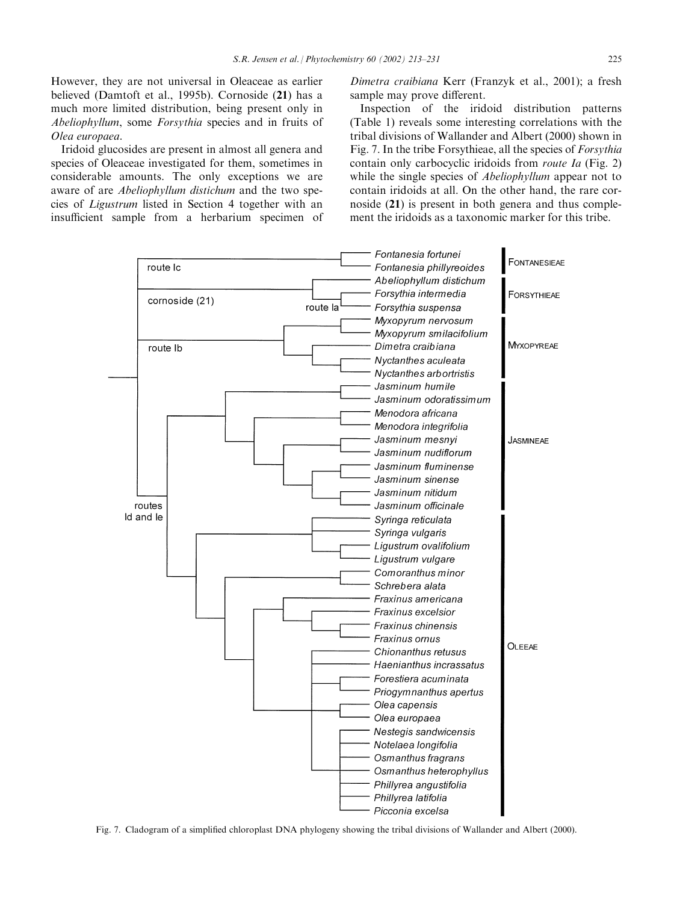However, they are not universal in Oleaceae as earlier believed (Damtoft et al., 1995b). Cornoside (21) has a much more limited distribution, being present only in Abeliophyllum, some Forsythia species and in fruits of Olea europaea.

Iridoid glucosides are present in almost all genera and species of Oleaceae investigated for them, sometimes in considerable amounts. The only exceptions we are aware of are Abeliophyllum distichum and the two species of Ligustrum listed in Section 4 together with an insufficient sample from a herbarium specimen of Dimetra craibiana Kerr (Franzyk et al., 2001); a fresh sample may prove different.

Inspection of the iridoid distribution patterns (Table 1) reveals some interesting correlations with the tribal divisions of Wallander and Albert (2000) shown in Fig. 7. In the tribe Forsythieae, all the species of Forsythia contain only carbocyclic iridoids from route Ia (Fig. 2) while the single species of *Abeliophyllum* appear not to contain iridoids at all. On the other hand, the rare cornoside (21) is present in both genera and thus complement the iridoids as a taxonomic marker for this tribe.



Fig. 7. Cladogram of a simplified chloroplast DNA phylogeny showing the tribal divisions of Wallander and Albert (2000).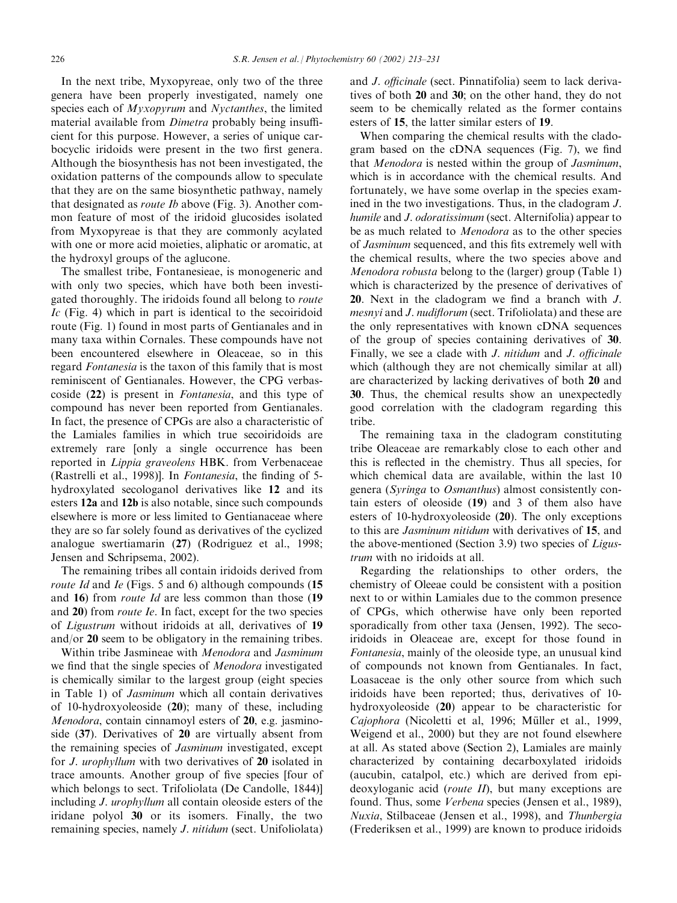In the next tribe, Myxopyreae, only two of the three genera have been properly investigated, namely one species each of *Myxopyrum* and *Nyctanthes*, the limited material available from *Dimetra* probably being insufficient for this purpose. However, a series of unique carbocyclic iridoids were present in the two first genera. Although the biosynthesis has not been investigated, the oxidation patterns of the compounds allow to speculate that they are on the same biosynthetic pathway, namely that designated as route Ib above (Fig. 3). Another common feature of most of the iridoid glucosides isolated from Myxopyreae is that they are commonly acylated with one or more acid moieties, aliphatic or aromatic, at the hydroxyl groups of the aglucone.

The smallest tribe, Fontanesieae, is monogeneric and with only two species, which have both been investigated thoroughly. The iridoids found all belong to route  $Ic$  (Fig. 4) which in part is identical to the secoiridoid route (Fig. 1) found in most parts of Gentianales and in many taxa within Cornales. These compounds have not been encountered elsewhere in Oleaceae, so in this regard Fontanesia is the taxon of this family that is most reminiscent of Gentianales. However, the CPG verbascoside (22) is present in Fontanesia, and this type of compound has never been reported from Gentianales. In fact, the presence of CPGs are also a characteristic of the Lamiales families in which true secoiridoids are extremely rare [only a single occurrence has been reported in Lippia graveolens HBK. from Verbenaceae (Rastrelli et al., 1998)]. In Fontanesia, the finding of 5 hydroxylated secologanol derivatives like 12 and its esters 12a and 12b is also notable, since such compounds elsewhere is more or less limited to Gentianaceae where they are so far solely found as derivatives of the cyclized analogue swertiamarin (27) (Rodriguez et al., 1998; Jensen and Schripsema, 2002).

The remaining tribes all contain iridoids derived from route Id and Ie (Figs. 5 and 6) although compounds (15 and 16) from route Id are less common than those (19 and 20) from route Ie. In fact, except for the two species of Ligustrum without iridoids at all, derivatives of 19 and/or 20 seem to be obligatory in the remaining tribes.

Within tribe Jasmineae with Menodora and Jasminum we find that the single species of Menodora investigated is chemically similar to the largest group (eight species in Table 1) of Jasminum which all contain derivatives of 10-hydroxyoleoside (20); many of these, including Menodora, contain cinnamoyl esters of 20, e.g. jasminoside (37). Derivatives of 20 are virtually absent from the remaining species of Jasminum investigated, except for J. urophyllum with two derivatives of 20 isolated in trace amounts. Another group of five species [four of which belongs to sect. Trifoliolata (De Candolle, 1844)] including J. urophyllum all contain oleoside esters of the iridane polyol 30 or its isomers. Finally, the two remaining species, namely *J. nitidum* (sect. Unifoliolata) and J. officinale (sect. Pinnatifolia) seem to lack derivatives of both 20 and 30; on the other hand, they do not seem to be chemically related as the former contains esters of 15, the latter similar esters of 19.

When comparing the chemical results with the cladogram based on the cDNA sequences (Fig. 7), we find that Menodora is nested within the group of Jasminum, which is in accordance with the chemical results. And fortunately, we have some overlap in the species examined in the two investigations. Thus, in the cladogram J. humile and *J. odoratissimum* (sect. Alternifolia) appear to be as much related to Menodora as to the other species of Jasminum sequenced, and this fits extremely well with the chemical results, where the two species above and Menodora robusta belong to the (larger) group (Table 1) which is characterized by the presence of derivatives of 20. Next in the cladogram we find a branch with J. mesnyi and J. nudiflorum (sect. Trifoliolata) and these are the only representatives with known cDNA sequences of the group of species containing derivatives of 30. Finally, we see a clade with J. nitidum and J. officinale which (although they are not chemically similar at all) are characterized by lacking derivatives of both 20 and 30. Thus, the chemical results show an unexpectedly good correlation with the cladogram regarding this tribe.

The remaining taxa in the cladogram constituting tribe Oleaceae are remarkably close to each other and this is reflected in the chemistry. Thus all species, for which chemical data are available, within the last 10 genera (Syringa to Osmanthus) almost consistently contain esters of oleoside (19) and 3 of them also have esters of 10-hydroxyoleoside (20). The only exceptions to this are Jasminum nitidum with derivatives of 15, and the above-mentioned (Section 3.9) two species of Ligustrum with no iridoids at all.

Regarding the relationships to other orders, the chemistry of Oleeae could be consistent with a position next to or within Lamiales due to the common presence of CPGs, which otherwise have only been reported sporadically from other taxa (Jensen, 1992). The secoiridoids in Oleaceae are, except for those found in Fontanesia, mainly of the oleoside type, an unusual kind of compounds not known from Gentianales. In fact, Loasaceae is the only other source from which such iridoids have been reported; thus, derivatives of 10 hydroxyoleoside (20) appear to be characteristic for Cajophora (Nicoletti et al, 1996; Müller et al., 1999, Weigend et al., 2000) but they are not found elsewhere at all. As stated above (Section 2), Lamiales are mainly characterized by containing decarboxylated iridoids (aucubin, catalpol, etc.) which are derived from epideoxyloganic acid (*route II*), but many exceptions are found. Thus, some Verbena species (Jensen et al., 1989), Nuxia, Stilbaceae (Jensen et al., 1998), and Thunbergia (Frederiksen et al., 1999) are known to produce iridoids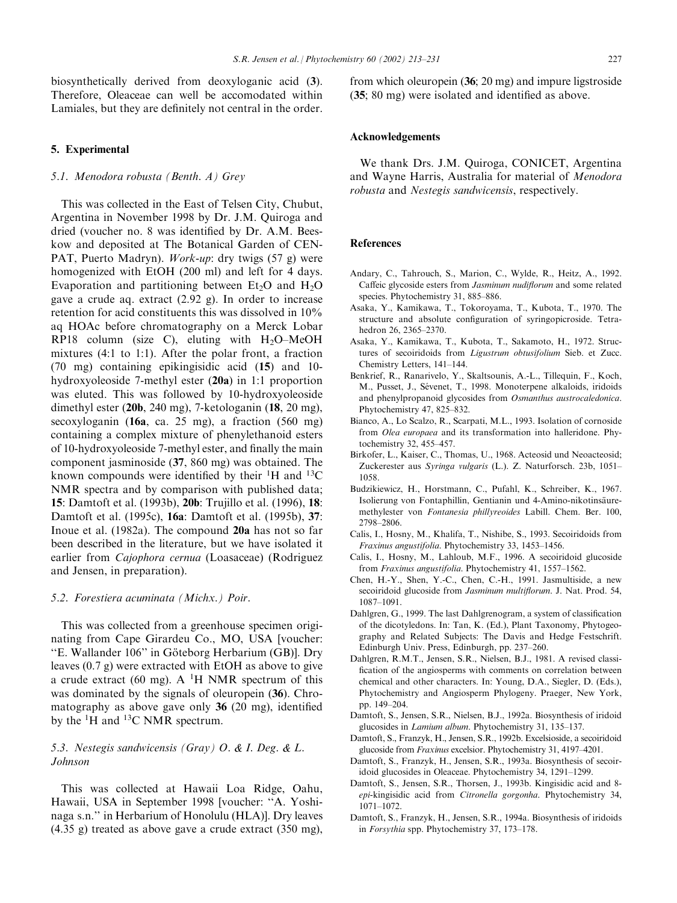### 5. Experimental

# 5.1. Menodora robusta (Benth. A) Grey

This was collected in the East of Telsen City, Chubut, Argentina in November 1998 by Dr. J.M. Quiroga and dried (voucher no. 8 was identified by Dr. A.M. Beeskow and deposited at The Botanical Garden of CEN-PAT, Puerto Madryn). *Work-up*: dry twigs (57 g) were homogenized with EtOH (200 ml) and left for 4 days. Evaporation and partitioning between  $Et<sub>2</sub>O$  and  $H<sub>2</sub>O$ gave a crude aq. extract (2.92 g). In order to increase retention for acid constituents this was dissolved in 10% aq HOAc before chromatography on a Merck Lobar RP18 column (size C), eluting with  $H_2O-MeOH$ mixtures (4:1 to 1:1). After the polar front, a fraction (70 mg) containing epikingisidic acid (15) and 10 hydroxyoleoside 7-methyl ester (20a) in 1:1 proportion was eluted. This was followed by 10-hydroxyoleoside dimethyl ester (20b, 240 mg), 7-ketologanin (18, 20 mg), secoxyloganin (16a, ca. 25 mg), a fraction (560 mg) containing a complex mixture of phenylethanoid esters of 10-hydroxyoleoside 7-methyl ester, and finally the main component jasminoside (37, 860 mg) was obtained. The known compounds were identified by their  ${}^{1}H$  and  ${}^{13}C$ NMR spectra and by comparison with published data; 15: Damtoft et al. (1993b), 20b: Trujillo et al. (1996), 18: Damtoft et al. (1995c), 16a: Damtoft et al. (1995b), 37: Inoue et al. (1982a). The compound 20a has not so far been described in the literature, but we have isolated it earlier from Cajophora cernua (Loasaceae) (Rodriguez and Jensen, in preparation).

#### 5.2. Forestiera acuminata (Michx.) Poir.

This was collected from a greenhouse specimen originating from Cape Girardeu Co., MO, USA [voucher: "E. Wallander 106" in Göteborg Herbarium (GB)]. Dry leaves (0.7 g) were extracted with EtOH as above to give a crude extract (60 mg). A  $^1$ H NMR spectrum of this was dominated by the signals of oleuropein  $(36)$ . Chromatography as above gave only 36 (20 mg), identified by the  ${}^{1}$ H and  ${}^{13}$ C NMR spectrum.

# 5.3. Nestegis sandwicensis (Gray) O. & I. Deg. & L. Johnson

This was collected at Hawaii Loa Ridge, Oahu, Hawaii, USA in September 1998 [voucher: ''A. Yoshinaga s.n.'' in Herbarium of Honolulu (HLA)]. Dry leaves (4.35 g) treated as above gave a crude extract (350 mg), from which oleuropein (36; 20 mg) and impure ligstroside (35; 80 mg) were isolated and identified as above.

### Acknowledgements

We thank Drs. J.M. Quiroga, CONICET, Argentina and Wayne Harris, Australia for material of Menodora robusta and Nestegis sandwicensis, respectively.

### References

- Andary, C., Tahrouch, S., Marion, C., Wylde, R., Heitz, A., 1992. Caffeic glycoside esters from Jasminum nudiflorum and some related species. Phytochemistry 31, 885–886.
- Asaka, Y., Kamikawa, T., Tokoroyama, T., Kubota, T., 1970. The structure and absolute configuration of syringopicroside. Tetrahedron 26, 2365–2370.
- Asaka, Y., Kamikawa, T., Kubota, T., Sakamoto, H., 1972. Structures of secoiridoids from Ligustrum obtusifolium Sieb. et Zucc. Chemistry Letters, 141–144.
- Benkrief, R., Ranarivelo, Y., Skaltsounis, A.-L., Tillequin, F., Koch, M., Pusset, J., Sévenet, T., 1998. Monoterpene alkaloids, iridoids and phenylpropanoid glycosides from Osmanthus austrocaledonica. Phytochemistry 47, 825–832.
- Bianco, A., Lo Scalzo, R., Scarpati, M.L., 1993. Isolation of cornoside from Olea europaea and its transformation into halleridone. Phytochemistry 32, 455–457.
- Birkofer, L., Kaiser, C., Thomas, U., 1968. Acteosid und Neoacteosid; Zuckerester aus Syringa vulgaris (L.). Z. Naturforsch. 23b, 1051– 1058.
- Budzikiewicz, H., Horstmann, C., Pufahl, K., Schreiber, K., 1967. Isolierung von Fontaphillin, Gentianin und 4-Amino-nikotinsäuremethylester von Fontanesia phillyreoides Labill. Chem. Ber. 100, 2798–2806.
- Calis, I., Hosny, M., Khalifa, T., Nishibe, S., 1993. Secoiridoids from Fraxinus angustifolia. Phytochemistry 33, 1453–1456.
- Calis, I., Hosny, M., Lahloub, M.F., 1996. A secoiridoid glucoside from Fraxinus angustifolia. Phytochemistry 41, 1557–1562.
- Chen, H.-Y., Shen, Y.-C., Chen, C.-H., 1991. Jasmultiside, a new secoiridoid glucoside from Jasminum multiflorum. J. Nat. Prod. 54, 1087–1091.
- Dahlgren, G., 1999. The last Dahlgrenogram, a system of classification of the dicotyledons. In: Tan, K. (Ed.), Plant Taxonomy, Phytogeography and Related Subjects: The Davis and Hedge Festschrift. Edinburgh Univ. Press, Edinburgh, pp. 237–260.
- Dahlgren, R.M.T., Jensen, S.R., Nielsen, B.J., 1981. A revised classification of the angiosperms with comments on correlation between chemical and other characters. In: Young, D.A., Siegler, D. (Eds.), Phytochemistry and Angiosperm Phylogeny. Praeger, New York, pp. 149–204.
- Damtoft, S., Jensen, S.R., Nielsen, B.J., 1992a. Biosynthesis of iridoid glucosides in Lamium album. Phytochemistry 31, 135–137.
- Damtoft, S., Franzyk, H., Jensen, S.R., 1992b. Excelsioside, a secoiridoid glucoside from Fraxinus excelsior. Phytochemistry 31, 4197–4201.
- Damtoft, S., Franzyk, H., Jensen, S.R., 1993a. Biosynthesis of secoiridoid glucosides in Oleaceae. Phytochemistry 34, 1291–1299.
- Damtoft, S., Jensen, S.R., Thorsen, J., 1993b. Kingisidic acid and 8 epi-kingisidic acid from Citronella gorgonha. Phytochemistry 34, 1071–1072.
- Damtoft, S., Franzyk, H., Jensen, S.R., 1994a. Biosynthesis of iridoids in Forsythia spp. Phytochemistry 37, 173–178.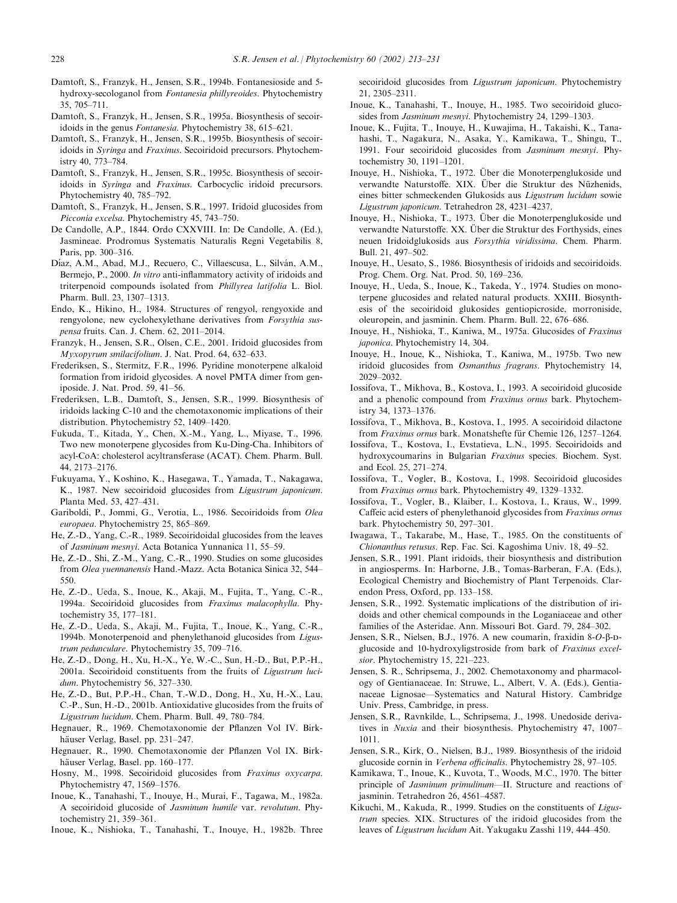- Damtoft, S., Franzyk, H., Jensen, S.R., 1994b. Fontanesioside and 5 hydroxy-secologanol from Fontanesia phillyreoides. Phytochemistry 35, 705–711.
- Damtoft, S., Franzyk, H., Jensen, S.R., 1995a. Biosynthesis of secoiridoids in the genus Fontanesia. Phytochemistry 38, 615–621.
- Damtoft, S., Franzyk, H., Jensen, S.R., 1995b. Biosynthesis of secoiridoids in Syringa and Fraxinus. Secoiridoid precursors. Phytochemistry 40, 773–784.
- Damtoft, S., Franzyk, H., Jensen, S.R., 1995c. Biosynthesis of secoiridoids in Syringa and Fraxinus. Carbocyclic iridoid precursors. Phytochemistry 40, 785–792.
- Damtoft, S., Franzyk, H., Jensen, S.R., 1997. Iridoid glucosides from Picconia excelsa. Phytochemistry 45, 743–750.
- De Candolle, A.P., 1844. Ordo CXXVIII. In: De Candolle, A. (Ed.), Jasmineae. Prodromus Systematis Naturalis Regni Vegetabilis 8, Paris, pp. 300–316.
- Díaz, A.M., Abad, M.J., Recuero, C., Villaescusa, L., Silván, A.M., Bermejo, P., 2000. In vitro anti-inflammatory activity of iridoids and triterpenoid compounds isolated from Phillyrea latifolia L. Biol. Pharm. Bull. 23, 1307–1313.
- Endo, K., Hikino, H., 1984. Structures of rengyol, rengyoxide and rengyolone, new cyclohexylethane derivatives from Forsythia suspensa fruits. Can. J. Chem. 62, 2011–2014.
- Franzyk, H., Jensen, S.R., Olsen, C.E., 2001. Iridoid glucosides from Myxopyrum smilacifolium. J. Nat. Prod. 64, 632–633.
- Frederiksen, S., Stermitz, F.R., 1996. Pyridine monoterpene alkaloid formation from iridoid glycosides. A novel PMTA dimer from geniposide. J. Nat. Prod. 59, 41–56.
- Frederiksen, L.B., Damtoft, S., Jensen, S.R., 1999. Biosynthesis of iridoids lacking C-10 and the chemotaxonomic implications of their distribution. Phytochemistry 52, 1409–1420.
- Fukuda, T., Kitada, Y., Chen, X.-M., Yang, L., Miyase, T., 1996. Two new monoterpene glycosides from Ku-Ding-Cha. Inhibitors of acyl-CoA: cholesterol acyltransferase (ACAT). Chem. Pharm. Bull. 44, 2173–2176.
- Fukuyama, Y., Koshino, K., Hasegawa, T., Yamada, T., Nakagawa, K., 1987. New secoiridoid glucosides from Ligustrum japonicum. Planta Med. 53, 427–431.
- Gariboldi, P., Jommi, G., Verotia, L., 1986. Secoiridoids from Olea europaea. Phytochemistry 25, 865–869.
- He, Z.-D., Yang, C.-R., 1989. Secoiridoidal glucosides from the leaves of Jasminum mesnyi. Acta Botanica Yunnanica 11, 55–59.
- He, Z.-D., Shi, Z.-M., Yang, C.-R., 1990. Studies on some glucosides from Olea yuennanensis Hand.-Mazz. Acta Botanica Sinica 32, 544– 550.
- He, Z.-D., Ueda, S., Inoue, K., Akaji, M., Fujita, T., Yang, C.-R., 1994a. Secoiridoid glucosides from Fraxinus malacophylla. Phytochemistry 35, 177–181.
- He, Z.-D., Ueda, S., Akaji, M., Fujita, T., Inoue, K., Yang, C.-R., 1994b. Monoterpenoid and phenylethanoid glucosides from Ligustrum pedunculare. Phytochemistry 35, 709–716.
- He, Z.-D., Dong, H., Xu, H.-X., Ye, W.-C., Sun, H.-D., But, P.P.-H., 2001a. Secoiridoid constituents from the fruits of Ligustrum lucidum. Phytochemistry 56, 327–330.
- He, Z.-D., But, P.P.-H., Chan, T.-W.D., Dong, H., Xu, H.-X., Lau, C.-P., Sun, H.-D., 2001b. Antioxidative glucosides from the fruits of Ligustrum lucidum. Chem. Pharm. Bull. 49, 780–784.
- Hegnauer, R., 1969. Chemotaxonomie der Pflanzen Vol IV. Birkhäuser Verlag, Basel. pp. 231-247.
- Hegnauer, R., 1990. Chemotaxonomie der Pflanzen Vol IX. Birkhäuser Verlag, Basel. pp. 160–177.
- Hosny, M., 1998. Secoiridoid glucosides from Fraxinus oxycarpa. Phytochemistry 47, 1569–1576.
- Inoue, K., Tanahashi, T., Inouye, H., Murai, F., Tagawa, M., 1982a. A secoiridoid glucoside of Jasminum humile var. revolutum. Phytochemistry 21, 359–361.
- Inoue, K., Nishioka, T., Tanahashi, T., Inouye, H., 1982b. Three

secoiridoid glucosides from Ligustrum japonicum. Phytochemistry 21, 2305–2311.

- Inoue, K., Tanahashi, T., Inouye, H., 1985. Two secoiridoid glucosides from Jasminum mesnyi. Phytochemistry 24, 1299–1303.
- Inoue, K., Fujita, T., Inouye, H., Kuwajima, H., Takaishi, K., Tanahashi, T., Nagakura, N., Asaka, Y., Kamikawa, T., Shingu, T., 1991. Four secoiridoid glucosides from Jasminum mesnyi. Phytochemistry 30, 1191–1201.
- Inouye, H., Nishioka, T., 1972. Über die Monoterpenglukoside und verwandte Naturstoffe. XIX. Über die Struktur des Nüzhenids, eines bitter schmeckenden Glukosids aus Ligustrum lucidum sowie Ligustrum japonicum. Tetrahedron 28, 4231–4237.
- Inouye, H., Nishioka, T., 1973. Über die Monoterpenglukoside und verwandte Naturstoffe. XX. Über die Struktur des Forthysids, eines neuen Iridoidglukosids aus Forsythia viridissima. Chem. Pharm. Bull. 21, 497–502.
- Inouye, H., Uesato, S., 1986. Biosynthesis of iridoids and secoiridoids. Prog. Chem. Org. Nat. Prod. 50, 169–236.
- Inouye, H., Ueda, S., Inoue, K., Takeda, Y., 1974. Studies on monoterpene glucosides and related natural products. XXIII. Biosynthesis of the secoiridoid glukosides gentiopicroside, morroniside, oleuropein, and jasminin. Chem. Pharm. Bull. 22, 676–686.
- Inouye, H., Nishioka, T., Kaniwa, M., 1975a. Glucosides of Fraxinus japonica. Phytochemistry 14, 304.
- Inouye, H., Inoue, K., Nishioka, T., Kaniwa, M., 1975b. Two new iridoid glucosides from Osmanthus fragrans. Phytochemistry 14, 2029–2032.
- Iossifova, T., Mikhova, B., Kostova, I., 1993. A secoiridoid glucoside and a phenolic compound from Fraxinus ornus bark. Phytochemistry 34, 1373–1376.
- Iossifova, T., Mikhova, B., Kostova, I., 1995. A secoiridoid dilactone from Fraxinus ornus bark. Monatshefte für Chemie 126, 1257–1264.
- Iossifova, T., Kostova, I., Evstatieva, L.N., 1995. Secoiridoids and hydroxycoumarins in Bulgarian Fraxinus species. Biochem. Syst. and Ecol. 25, 271–274.
- Iossifova, T., Vogler, B., Kostova, I., 1998. Secoiridoid glucosides from Fraxinus ornus bark. Phytochemistry 49, 1329–1332.
- Iossifova, T., Vogler, B., Klaiber, I., Kostova, I., Kraus, W., 1999. Caffeic acid esters of phenylethanoid glycosides from Fraxinus ornus bark. Phytochemistry 50, 297–301.
- Iwagawa, T., Takarabe, M., Hase, T., 1985. On the constituents of Chionanthus retusus. Rep. Fac. Sci. Kagoshima Univ. 18, 49–52.
- Jensen, S.R., 1991. Plant iridoids, their biosynthesis and distribution in angiosperms. In: Harborne, J.B., Tomas-Barberan, F.A. (Eds.), Ecological Chemistry and Biochemistry of Plant Terpenoids. Clarendon Press, Oxford, pp. 133–158.
- Jensen, S.R., 1992. Systematic implications of the distribution of iridoids and other chemical compounds in the Loganiaceae and other families of the Asteridae. Ann. Missouri Bot. Gard. 79, 284–302.
- Jensen, S.R., Nielsen, B.J., 1976. A new coumarin, fraxidin 8-O-B-Dglucoside and 10-hydroxyligstroside from bark of Fraxinus excelsior. Phytochemistry 15, 221–223.
- Jensen, S. R., Schripsema, J., 2002. Chemotaxonomy and pharmacology of Gentianaceae. In: Struwe, L., Albert, V. A. (Eds.), Gentianaceae Lignosae—Systematics and Natural History. Cambridge Univ. Press, Cambridge, in press.
- Jensen, S.R., Ravnkilde, L., Schripsema, J., 1998. Unedoside derivatives in Nuxia and their biosynthesis. Phytochemistry 47, 1007– 1011.
- Jensen, S.R., Kirk, O., Nielsen, B.J., 1989. Biosynthesis of the iridoid glucoside cornin in Verbena officinalis. Phytochemistry 28, 97–105.
- Kamikawa, T., Inoue, K., Kuvota, T., Woods, M.C., 1970. The bitter principle of Jasminum primulinum—II. Structure and reactions of jasminin. Tetrahedron 26, 4561–4587.
- Kikuchi, M., Kakuda, R., 1999. Studies on the constituents of Ligustrum species. XIX. Structures of the iridoid glucosides from the leaves of Ligustrum lucidum Ait. Yakugaku Zasshi 119, 444–450.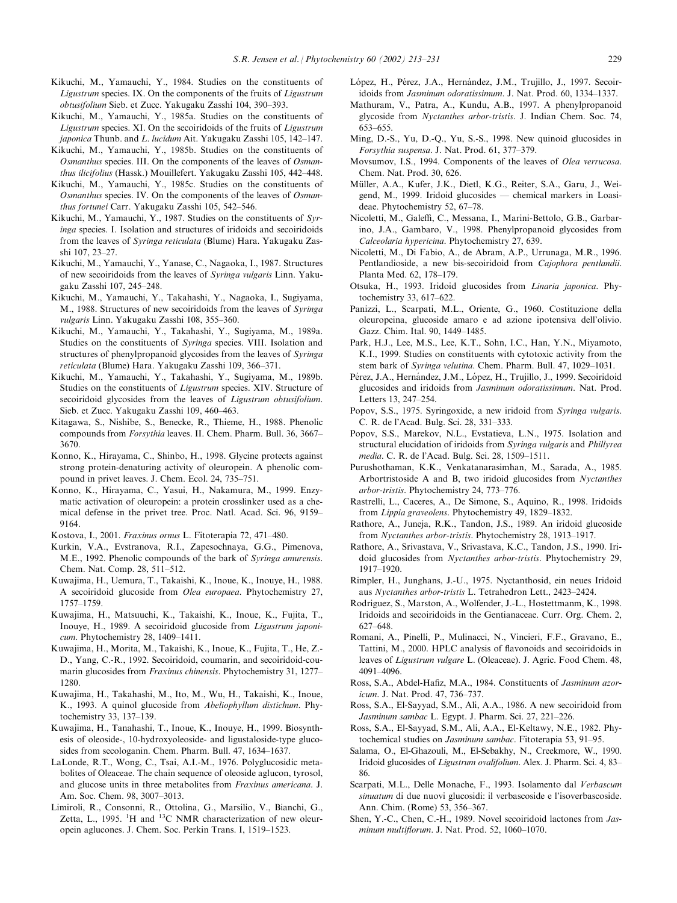- Kikuchi, M., Yamauchi, Y., 1984. Studies on the constituents of Ligustrum species. IX. On the components of the fruits of Ligustrum obtusifolium Sieb. et Zucc. Yakugaku Zasshi 104, 390–393.
- Kikuchi, M., Yamauchi, Y., 1985a. Studies on the constituents of Ligustrum species. XI. On the secoiridoids of the fruits of Ligustrum japonica Thunb. and L. lucidum Ait. Yakugaku Zasshi 105, 142-147.
- Kikuchi, M., Yamauchi, Y., 1985b. Studies on the constituents of Osmanthus species. III. On the components of the leaves of Osmanthus ilicifolius (Hassk.) Mouillefert. Yakugaku Zasshi 105, 442–448.
- Kikuchi, M., Yamauchi, Y., 1985c. Studies on the constituents of  $O$ smanthus species. IV. On the components of the leaves of  $Os$ manthus fortunei Carr. Yakugaku Zasshi 105, 542–546.
- Kikuchi, M., Yamauchi, Y., 1987. Studies on the constituents of Syringa species. I. Isolation and structures of iridoids and secoiridoids from the leaves of Syringa reticulata (Blume) Hara. Yakugaku Zasshi 107, 23–27.
- Kikuchi, M., Yamauchi, Y., Yanase, C., Nagaoka, I., 1987. Structures of new secoiridoids from the leaves of Syringa vulgaris Linn. Yakugaku Zasshi 107, 245–248.
- Kikuchi, M., Yamauchi, Y., Takahashi, Y., Nagaoka, I., Sugiyama, M., 1988. Structures of new secoiridoids from the leaves of Syringa vulgaris Linn. Yakugaku Zasshi 108, 355–360.
- Kikuchi, M., Yamauchi, Y., Takahashi, Y., Sugiyama, M., 1989a. Studies on the constituents of Syringa species. VIII. Isolation and structures of phenylpropanoid glycosides from the leaves of Syringa reticulata (Blume) Hara. Yakugaku Zasshi 109, 366–371.
- Kikuchi, M., Yamauchi, Y., Takahashi, Y., Sugiyama, M., 1989b. Studies on the constituents of Ligustrum species. XIV. Structure of secoiridoid glycosides from the leaves of Ligustrum obtusifolium. Sieb. et Zucc. Yakugaku Zasshi 109, 460–463.
- Kitagawa, S., Nishibe, S., Benecke, R., Thieme, H., 1988. Phenolic compounds from Forsythia leaves. II. Chem. Pharm. Bull. 36, 3667– 3670.
- Konno, K., Hirayama, C., Shinbo, H., 1998. Glycine protects against strong protein-denaturing activity of oleuropein. A phenolic compound in privet leaves. J. Chem. Ecol. 24, 735–751.
- Konno, K., Hirayama, C., Yasui, H., Nakamura, M., 1999. Enzymatic activation of oleuropein: a protein crosslinker used as a chemical defense in the privet tree. Proc. Natl. Acad. Sci. 96, 9159– 9164.
- Kostova, I., 2001. Fraxinus ornus L. Fitoterapia 72, 471–480.
- Kurkin, V.A., Evstranova, R.I., Zapesochnaya, G.G., Pimenova, M.E., 1992. Phenolic compounds of the bark of Syringa amurensis. Chem. Nat. Comp. 28, 511–512.
- Kuwajima, H., Uemura, T., Takaishi, K., Inoue, K., Inouye, H., 1988. A secoiridoid glucoside from Olea europaea. Phytochemistry 27, 1757–1759.
- Kuwajima, H., Matsuuchi, K., Takaishi, K., Inoue, K., Fujita, T., Inouye, H., 1989. A secoiridoid glucoside from Ligustrum japonicum. Phytochemistry 28, 1409–1411.
- Kuwajima, H., Morita, M., Takaishi, K., Inoue, K., Fujita, T., He, Z.- D., Yang, C.-R., 1992. Secoiridoid, coumarin, and secoiridoid-coumarin glucosides from Fraxinus chinensis. Phytochemistry 31, 1277– 1280.
- Kuwajima, H., Takahashi, M., Ito, M., Wu, H., Takaishi, K., Inoue, K., 1993. A quinol glucoside from Abeliophyllum distichum. Phytochemistry 33, 137–139.
- Kuwajima, H., Tanahashi, T., Inoue, K., Inouye, H., 1999. Biosynthesis of oleoside-, 10-hydroxyoleoside- and ligustaloside-type glucosides from secologanin. Chem. Pharm. Bull. 47, 1634–1637.
- LaLonde, R.T., Wong, C., Tsai, A.I.-M., 1976. Polyglucosidic metabolites of Oleaceae. The chain sequence of oleoside aglucon, tyrosol, and glucose units in three metabolites from Fraxinus americana. J. Am. Soc. Chem. 98, 3007–3013.
- Limiroli, R., Consonni, R., Ottolina, G., Marsilio, V., Bianchi, G., Zetta, L., 1995. <sup>1</sup>H and <sup>13</sup>C NMR characterization of new oleuropein aglucones. J. Chem. Soc. Perkin Trans. I, 1519–1523.
- López, H., Pérez, J.A., Hernández, J.M., Trujillo, J., 1997. Secoiridoids from Jasminum odoratissimum. J. Nat. Prod. 60, 1334–1337.
- Mathuram, V., Patra, A., Kundu, A.B., 1997. A phenylpropanoid glycoside from Nyctanthes arbor-tristis. J. Indian Chem. Soc. 74, 653–655.
- Ming, D.-S., Yu, D.-Q., Yu, S.-S., 1998. New quinoid glucosides in Forsythia suspensa. J. Nat. Prod. 61, 377–379.
- Movsumov, I.S., 1994. Components of the leaves of Olea verrucosa. Chem. Nat. Prod. 30, 626.
- Müller, A.A., Kufer, J.K., Dietl, K.G., Reiter, S.A., Garu, J., Weigend, M., 1999. Iridoid glucosides — chemical markers in Loasideae. Phytochemistry 52, 67–78.
- Nicoletti, M., Galeffi, C., Messana, I., Marini-Bettolo, G.B., Garbarino, J.A., Gambaro, V., 1998. Phenylpropanoid glycosides from Calceolaria hypericina. Phytochemistry 27, 639.
- Nicoletti, M., Di Fabio, A., de Abram, A.P., Urrunaga, M.R., 1996. Pentlandioside, a new bis-secoiridoid from Cajophora pentlandii. Planta Med. 62, 178–179.
- Otsuka, H., 1993. Iridoid glucosides from Linaria japonica. Phytochemistry 33, 617–622.
- Panizzi, L., Scarpati, M.L., Oriente, G., 1960. Costituzione della oleuropeina, glucoside amaro e ad azione ipotensiva dell'olivio. Gazz. Chim. Ital. 90, 1449–1485.
- Park, H.J., Lee, M.S., Lee, K.T., Sohn, I.C., Han, Y.N., Miyamoto, K.I., 1999. Studies on constituents with cytotoxic activity from the stem bark of Syringa velutina. Chem. Pharm. Bull. 47, 1029–1031.
- Pérez, J.A., Hernández, J.M., López, H., Trujillo, J., 1999. Secoiridoid glucosides and iridoids from Jasminum odoratissimum. Nat. Prod. Letters 13, 247–254.
- Popov, S.S., 1975. Syringoxide, a new iridoid from Syringa vulgaris. C. R. de l'Acad. Bulg. Sci. 28, 331–333.
- Popov, S.S., Marekov, N.L., Evstatieva, L.N., 1975. Isolation and structural elucidation of iridoids from Syringa vulgaris and Phillyrea media. C. R. de l'Acad. Bulg. Sci. 28, 1509–1511.
- Purushothaman, K.K., Venkatanarasimhan, M., Sarada, A., 1985. Arbortristoside A and B, two iridoid glucosides from Nyctanthes arbor-tristis. Phytochemistry 24, 773–776.
- Rastrelli, L., Caceres, A., De Simone, S., Aquino, R., 1998. Iridoids from Lippia graveolens. Phytochemistry 49, 1829–1832.
- Rathore, A., Juneja, R.K., Tandon, J.S., 1989. An iridoid glucoside from Nyctanthes arbor-tristis. Phytochemistry 28, 1913–1917.
- Rathore, A., Srivastava, V., Srivastava, K.C., Tandon, J.S., 1990. Iridoid glucosides from Nyctanthes arbor-tristis. Phytochemistry 29, 1917–1920.
- Rimpler, H., Junghans, J.-U., 1975. Nyctanthosid, ein neues Iridoid aus Nyctanthes arbor-tristis L. Tetrahedron Lett., 2423–2424.
- Rodriguez, S., Marston, A., Wolfender, J.-L., Hostettmanm, K., 1998. Iridoids and secoiridoids in the Gentianaceae. Curr. Org. Chem. 2, 627–648.
- Romani, A., Pinelli, P., Mulinacci, N., Vincieri, F.F., Gravano, E., Tattini, M., 2000. HPLC analysis of flavonoids and secoiridoids in leaves of Ligustrum vulgare L. (Oleaceae). J. Agric. Food Chem. 48, 4091–4096.
- Ross, S.A., Abdel-Hafiz, M.A., 1984. Constituents of Jasminum azoricum. J. Nat. Prod. 47, 736–737.
- Ross, S.A., El-Sayyad, S.M., Ali, A.A., 1986. A new secoiridoid from Jasminum sambac L. Egypt. J. Pharm. Sci. 27, 221–226.
- Ross, S.A., El-Sayyad, S.M., Ali, A.A., El-Keltawy, N.E., 1982. Phytochemical studies on Jasminum sambac. Fitoterapia 53, 91–95.
- Salama, O., El-Ghazouli, M., El-Sebakhy, N., Creekmore, W., 1990. Iridoid glucosides of Ligustrum ovalifolium. Alex. J. Pharm. Sci. 4, 83– 86.
- Scarpati, M.L., Delle Monache, F., 1993. Isolamento dal Verbascum sinuatum di due nuovi glucosidi: il verbascoside e l'isoverbascoside. Ann. Chim. (Rome) 53, 356–367.
- Shen, Y.-C., Chen, C.-H., 1989. Novel secoiridoid lactones from Jasminum multiflorum. J. Nat. Prod. 52, 1060–1070.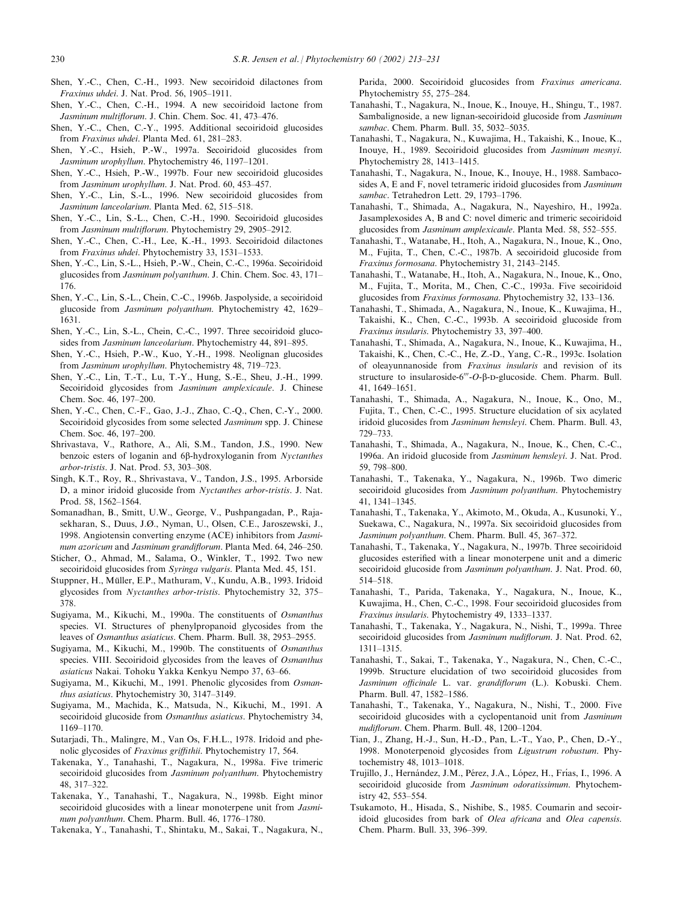- Shen, Y.-C., Chen, C.-H., 1993. New secoiridoid dilactones from Fraxinus uhdei. J. Nat. Prod. 56, 1905–1911.
- Shen, Y.-C., Chen, C.-H., 1994. A new secoiridoid lactone from Jasminum multiflorum. J. Chin. Chem. Soc. 41, 473–476.
- Shen, Y.-C., Chen, C.-Y., 1995. Additional secoiridoid glucosides from Fraxinus uhdei. Planta Med. 61, 281–283.
- Shen, Y.-C., Hsieh, P.-W., 1997a. Secoiridoid glucosides from Jasminum urophyllum. Phytochemistry 46, 1197–1201.
- Shen, Y.-C., Hsieh, P.-W., 1997b. Four new secoiridoid glucosides from Jasminum urophyllum. J. Nat. Prod. 60, 453–457.
- Shen, Y.-C., Lin, S.-L., 1996. New secoiridoid glucosides from Jasminum lanceolarium. Planta Med. 62, 515–518.
- Shen, Y.-C., Lin, S.-L., Chen, C.-H., 1990. Secoiridoid glucosides from Jasminum multiflorum. Phytochemistry 29, 2905–2912.
- Shen, Y.-C., Chen, C.-H., Lee, K.-H., 1993. Secoiridoid dilactones from Fraxinus uhdei. Phytochemistry 33, 1531–1533.
- Shen, Y.-C., Lin, S.-L., Hsieh, P.-W., Chein, C.-C., 1996a. Secoiridoid glucosides from Jasminum polyanthum. J. Chin. Chem. Soc. 43, 171– 176.
- Shen, Y.-C., Lin, S.-L., Chein, C.-C., 1996b. Jaspolyside, a secoiridoid glucoside from Jasminum polyanthum. Phytochemistry 42, 1629– 1631.
- Shen, Y.-C., Lin, S.-L., Chein, C.-C., 1997. Three secoiridoid glucosides from Jasminum lanceolarium. Phytochemistry 44, 891-895.
- Shen, Y.-C., Hsieh, P.-W., Kuo, Y.-H., 1998. Neolignan glucosides from Jasminum urophyllum. Phytochemistry 48, 719–723.
- Shen, Y.-C., Lin, T.-T., Lu, T.-Y., Hung, S.-E., Sheu, J.-H., 1999. Secoiridoid glycosides from Jasminum amplexicaule. J. Chinese Chem. Soc. 46, 197–200.
- Shen, Y.-C., Chen, C.-F., Gao, J.-J., Zhao, C.-Q., Chen, C.-Y., 2000. Secoiridoid glycosides from some selected Jasminum spp. J. Chinese Chem. Soc. 46, 197–200.
- Shrivastava, V., Rathore, A., Ali, S.M., Tandon, J.S., 1990. New benzoic esters of loganin and 6β-hydroxyloganin from Nyctanthes arbor-tristis. J. Nat. Prod. 53, 303–308.
- Singh, K.T., Roy, R., Shrivastava, V., Tandon, J.S., 1995. Arborside D, a minor iridoid glucoside from Nyctanthes arbor-tristis. J. Nat. Prod. 58, 1562–1564.
- Somanadhan, B., Smitt, U.W., George, V., Pushpangadan, P., Rajasekharan, S., Duus, J.Ø., Nyman, U., Olsen, C.E., Jaroszewski, J., 1998. Angiotensin converting enzyme (ACE) inhibitors from Jasminum azoricum and Jasminum grandiflorum. Planta Med. 64, 246–250.
- Sticher, O., Ahmad, M., Salama, O., Winkler, T., 1992. Two new secoiridoid glucosides from Syringa vulgaris. Planta Med. 45, 151.
- Stuppner, H., Müller, E.P., Mathuram, V., Kundu, A.B., 1993. Iridoid glycosides from Nyctanthes arbor-tristis. Phytochemistry 32, 375– 378.
- Sugiyama, M., Kikuchi, M., 1990a. The constituents of Osmanthus species. VI. Structures of phenylpropanoid glycosides from the leaves of Osmanthus asiaticus. Chem. Pharm. Bull. 38, 2953–2955.
- Sugiyama, M., Kikuchi, M., 1990b. The constituents of Osmanthus species. VIII. Secoiridoid glycosides from the leaves of Osmanthus asiaticus Nakai. Tohoku Yakka Kenkyu Nempo 37, 63–66.
- Sugiyama, M., Kikuchi, M., 1991. Phenolic glycosides from Osmanthus asiaticus. Phytochemistry 30, 3147–3149.
- Sugiyama, M., Machida, K., Matsuda, N., Kikuchi, M., 1991. A secoiridoid glucoside from *Osmanthus asiaticus*. Phytochemistry 34, 1169–1170.
- Sutarjadi, Th., Malingre, M., Van Os, F.H.L., 1978. Iridoid and phenolic glycosides of Fraxinus griffithii. Phytochemistry 17, 564.
- Takenaka, Y., Tanahashi, T., Nagakura, N., 1998a. Five trimeric secoiridoid glucosides from Jasminum polyanthum. Phytochemistry 48, 317–322.
- Takenaka, Y., Tanahashi, T., Nagakura, N., 1998b. Eight minor secoiridoid glucosides with a linear monoterpene unit from *Jasmi*num polyanthum. Chem. Pharm. Bull. 46, 1776–1780.
- Takenaka, Y., Tanahashi, T., Shintaku, M., Sakai, T., Nagakura, N.,

Parida, 2000. Secoiridoid glucosides from Fraxinus americana. Phytochemistry 55, 275–284.

- Tanahashi, T., Nagakura, N., Inoue, K., Inouye, H., Shingu, T., 1987. Sambalignoside, a new lignan-secoiridoid glucoside from Jasminum sambac. Chem. Pharm. Bull. 35, 5032–5035.
- Tanahashi, T., Nagakura, N., Kuwajima, H., Takaishi, K., Inoue, K., Inouye, H., 1989. Secoiridoid glucosides from Jasminum mesnyi. Phytochemistry 28, 1413–1415.
- Tanahashi, T., Nagakura, N., Inoue, K., Inouye, H., 1988. Sambacosides A, E and F, novel tetrameric iridoid glucosides from Jasminum sambac. Tetrahedron Lett. 29, 1793–1796.
- Tanahashi, T., Shimada, A., Nagakura, N., Nayeshiro, H., 1992a. Jasamplexosides A, B and C: novel dimeric and trimeric secoiridoid glucosides from Jasminum amplexicaule. Planta Med. 58, 552–555.
- Tanahashi, T., Watanabe, H., Itoh, A., Nagakura, N., Inoue, K., Ono, M., Fujita, T., Chen, C.-C., 1987b. A secoiridoid glucoside from Fraxinus formosana. Phytochemistry 31, 2143–2145.
- Tanahashi, T., Watanabe, H., Itoh, A., Nagakura, N., Inoue, K., Ono, M., Fujita, T., Morita, M., Chen, C.-C., 1993a. Five secoiridoid glucosides from Fraxinus formosana. Phytochemistry 32, 133–136.
- Tanahashi, T., Shimada, A., Nagakura, N., Inoue, K., Kuwajima, H., Takaishi, K., Chen, C.-C., 1993b. A secoiridoid glucoside from Fraxinus insularis. Phytochemistry 33, 397–400.
- Tanahashi, T., Shimada, A., Nagakura, N., Inoue, K., Kuwajima, H., Takaishi, K., Chen, C.-C., He, Z.-D., Yang, C.-R., 1993c. Isolation of oleayunnanoside from Fraxinus insularis and revision of its structure to insularoside-6<sup>"</sup>-Ο-β-D-glucoside. Chem. Pharm. Bull. 41, 1649–1651.
- Tanahashi, T., Shimada, A., Nagakura, N., Inoue, K., Ono, M., Fujita, T., Chen, C.-C., 1995. Structure elucidation of six acylated iridoid glucosides from Jasminum hemsleyi. Chem. Pharm. Bull. 43, 729–733.
- Tanahashi, T., Shimada, A., Nagakura, N., Inoue, K., Chen, C.-C., 1996a. An iridoid glucoside from Jasminum hemsleyi. J. Nat. Prod. 59, 798–800.
- Tanahashi, T., Takenaka, Y., Nagakura, N., 1996b. Two dimeric secoiridoid glucosides from *Jasminum polyanthum*. Phytochemistry 41, 1341–1345.
- Tanahashi, T., Takenaka, Y., Akimoto, M., Okuda, A., Kusunoki, Y., Suekawa, C., Nagakura, N., 1997a. Six secoiridoid glucosides from Jasminum polyanthum. Chem. Pharm. Bull. 45, 367–372.
- Tanahashi, T., Takenaka, Y., Nagakura, N., 1997b. Three secoiridoid glucosides esterified with a linear monoterpene unit and a dimeric secoiridoid glucoside from Jasminum polyanthum. J. Nat. Prod. 60, 514–518.
- Tanahashi, T., Parida, Takenaka, Y., Nagakura, N., Inoue, K., Kuwajima, H., Chen, C.-C., 1998. Four secoiridoid glucosides from Fraxinus insularis. Phytochemistry 49, 1333–1337.
- Tanahashi, T., Takenaka, Y., Nagakura, N., Nishi, T., 1999a. Three secoiridoid glucosides from Jasminum nudiflorum. J. Nat. Prod. 62, 1311–1315.
- Tanahashi, T., Sakai, T., Takenaka, Y., Nagakura, N., Chen, C.-C., 1999b. Structure elucidation of two secoiridoid glucosides from Jasminum officinale L. var. grandiflorum (L.). Kobuski. Chem. Pharm. Bull. 47, 1582–1586.
- Tanahashi, T., Takenaka, Y., Nagakura, N., Nishi, T., 2000. Five secoiridoid glucosides with a cyclopentanoid unit from Jasminum nudiflorum. Chem. Pharm. Bull. 48, 1200–1204.
- Tian, J., Zhang, H.-J., Sun, H.-D., Pan, L.-T., Yao, P., Chen, D.-Y., 1998. Monoterpenoid glycosides from Ligustrum robustum. Phytochemistry 48, 1013–1018.
- Trujillo, J., Hernández, J.M., Pérez, J.A., López, H., Frías, I., 1996. A secoiridoid glucoside from Jasminum odoratissimum. Phytochemistry 42, 553–554.
- Tsukamoto, H., Hisada, S., Nishibe, S., 1985. Coumarin and secoiridoid glucosides from bark of Olea africana and Olea capensis. Chem. Pharm. Bull. 33, 396–399.